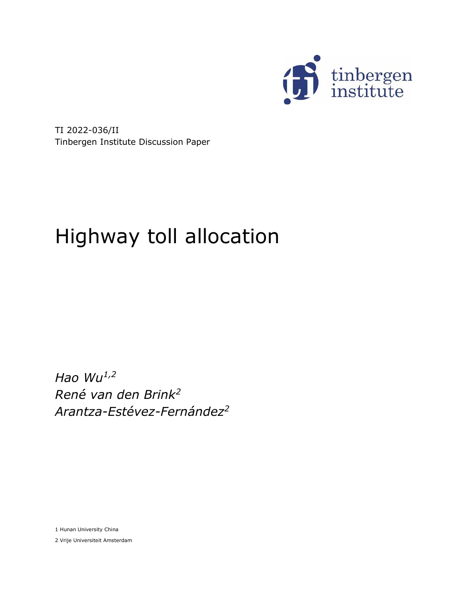

TI 2022-036/II Tinbergen Institute Discussion Paper

# Highway toll allocation

*Hao Wu1,2 René van den Brink<sup>2</sup> Arantza-Estévez-Fernández<sup>2</sup>*

1 Hunan University China

2 Vrije Universiteit Amsterdam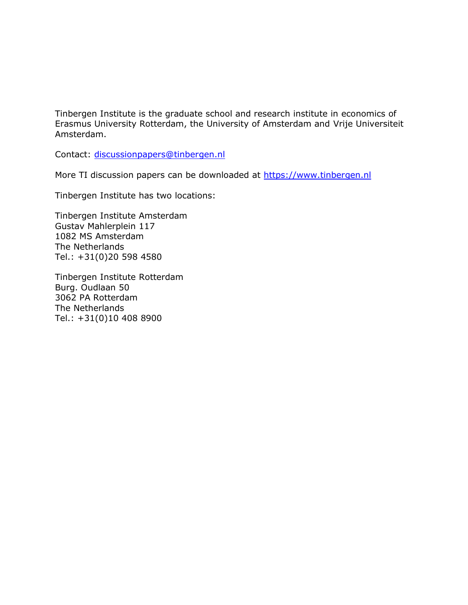Tinbergen Institute is the graduate school and research institute in economics of Erasmus University Rotterdam, the University of Amsterdam and Vrije Universiteit Amsterdam.

Contact: [discussionpapers@tinbergen.nl](mailto:discussionpapers@tinbergen.nl)

More TI discussion papers can be downloaded at [https://www.tinbergen.nl](https://www.tinbergen.nl/)

Tinbergen Institute has two locations:

Tinbergen Institute Amsterdam Gustav Mahlerplein 117 1082 MS Amsterdam The Netherlands Tel.: +31(0)20 598 4580

Tinbergen Institute Rotterdam Burg. Oudlaan 50 3062 PA Rotterdam The Netherlands Tel.: +31(0)10 408 8900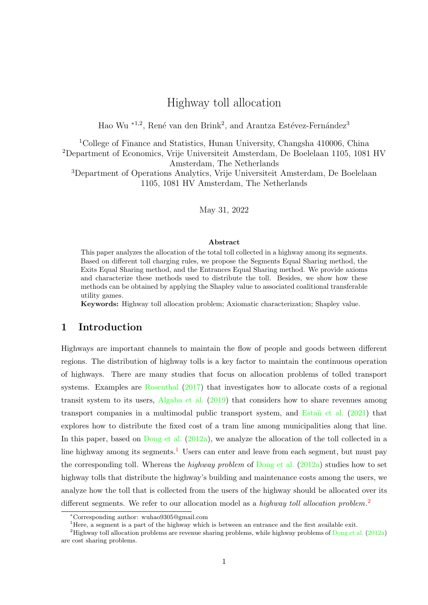# Highway toll allocation

Hao Wu<sup>\*1,2</sup>, René van den Brink<sup>2</sup>, and Arantza Estévez-Fernández<sup>3</sup>

<span id="page-2-2"></span><sup>1</sup>College of Finance and Statistics, Hunan University, Changsha 410006, China <sup>2</sup>Department of Economics, Vrije Universiteit Amsterdam, De Boelelaan 1105, 1081 HV Amsterdam, The Netherlands <sup>3</sup>Department of Operations Analytics, Vrije Universiteit Amsterdam, De Boelelaan 1105, 1081 HV Amsterdam, The Netherlands

May 31, 2022

#### Abstract

This paper analyzes the allocation of the total toll collected in a highway among its segments. Based on different toll charging rules, we propose the Segments Equal Sharing method, the Exits Equal Sharing method, and the Entrances Equal Sharing method. We provide axioms and characterize these methods used to distribute the toll. Besides, we show how these methods can be obtained by applying the Shapley value to associated coalitional transferable utility games.

Keywords: Highway toll allocation problem; Axiomatic characterization; Shapley value.

# 1 Introduction

Highways are important channels to maintain the flow of people and goods between different regions. The distribution of highway tolls is a key factor to maintain the continuous operation of highways. There are many studies that focus on allocation problems of tolled transport systems. Examples are [Rosenthal](#page-35-0) [\(2017\)](#page-35-0) that investigates how to allocate costs of a regional transit system to its users, [Algaba et al.](#page-33-0) [\(2019\)](#page-33-0) that considers how to share revenues among transport companies in a multimodal public transport system, and Estañ et al.  $(2021)$  that explores how to distribute the fixed cost of a tram line among municipalities along that line. In this paper, based on [Dong et al.](#page-34-1) [\(2012a\)](#page-34-1), we analyze the allocation of the toll collected in a line highway among its segments.<sup>[1](#page-2-0)</sup> Users can enter and leave from each segment, but must pay the corresponding toll. Whereas the *highway problem* of [Dong et al.](#page-34-1)  $(2012a)$  studies how to set highway tolls that distribute the highway's building and maintenance costs among the users, we analyze how the toll that is collected from the users of the highway should be allocated over its different segments. We refer to our allocation model as a highway toll allocation problem.<sup>[2](#page-2-1)</sup>

<span id="page-2-0"></span><sup>∗</sup>Corresponding author: wuhao9305@gmail.com

<span id="page-2-1"></span><sup>&</sup>lt;sup>1</sup>Here, a segment is a part of the highway which is between an entrance and the first available exit.

<sup>&</sup>lt;sup>2</sup>Highway toll allocation problems are revenue sharing problems, while highway problems of [Dong et al.](#page-34-1) [\(2012a\)](#page-34-1) are cost sharing problems.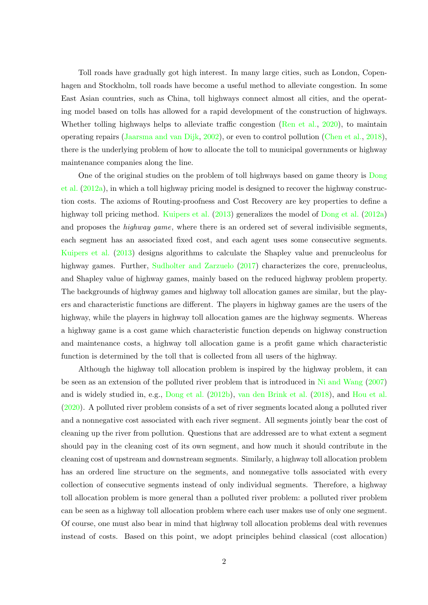Toll roads have gradually got high interest. In many large cities, such as London, Copenhagen and Stockholm, toll roads have become a useful method to alleviate congestion. In some East Asian countries, such as China, toll highways connect almost all cities, and the operating model based on tolls has allowed for a rapid development of the construction of highways. Whether tolling highways helps to alleviate traffic congestion [\(Ren et al.,](#page-35-1) [2020\)](#page-35-1), to maintain operating repairs [\(Jaarsma and van Dijk,](#page-34-2) [2002\)](#page-34-2), or even to control pollution [\(Chen et al.,](#page-34-3) [2018\)](#page-34-3), there is the underlying problem of how to allocate the toll to municipal governments or highway maintenance companies along the line.

One of the original studies on the problem of toll highways based on game theory is [Dong](#page-34-1) [et al.](#page-34-1) [\(2012a\)](#page-34-1), in which a toll highway pricing model is designed to recover the highway construction costs. The axioms of Routing-proofness and Cost Recovery are key properties to define a highway toll pricing method. [Kuipers et al.](#page-35-2) [\(2013\)](#page-35-2) generalizes the model of [Dong et al.](#page-34-1) [\(2012a\)](#page-34-1) and proposes the *highway game*, where there is an ordered set of several indivisible segments, each segment has an associated fixed cost, and each agent uses some consecutive segments. [Kuipers et al.](#page-35-2) [\(2013\)](#page-35-2) designs algorithms to calculate the Shapley value and prenucleolus for highway games. Further, [Sudholter and Zarzuelo](#page-35-3) [\(2017\)](#page-35-3) characterizes the core, prenucleolus, and Shapley value of highway games, mainly based on the reduced highway problem property. The backgrounds of highway games and highway toll allocation games are similar, but the players and characteristic functions are different. The players in highway games are the users of the highway, while the players in highway toll allocation games are the highway segments. Whereas a highway game is a cost game which characteristic function depends on highway construction and maintenance costs, a highway toll allocation game is a profit game which characteristic function is determined by the toll that is collected from all users of the highway.

Although the highway toll allocation problem is inspired by the highway problem, it can be seen as an extension of the polluted river problem that is introduced in [Ni and Wang](#page-35-4) [\(2007\)](#page-35-4) and is widely studied in, e.g., [Dong et al.](#page-34-4) [\(2012b\)](#page-34-4), [van den Brink et al.](#page-35-5) [\(2018\)](#page-35-5), and [Hou et al.](#page-34-5) [\(2020\)](#page-34-5). A polluted river problem consists of a set of river segments located along a polluted river and a nonnegative cost associated with each river segment. All segments jointly bear the cost of cleaning up the river from pollution. Questions that are addressed are to what extent a segment should pay in the cleaning cost of its own segment, and how much it should contribute in the cleaning cost of upstream and downstream segments. Similarly, a highway toll allocation problem has an ordered line structure on the segments, and nonnegative tolls associated with every collection of consecutive segments instead of only individual segments. Therefore, a highway toll allocation problem is more general than a polluted river problem: a polluted river problem can be seen as a highway toll allocation problem where each user makes use of only one segment. Of course, one must also bear in mind that highway toll allocation problems deal with revenues instead of costs. Based on this point, we adopt principles behind classical (cost allocation)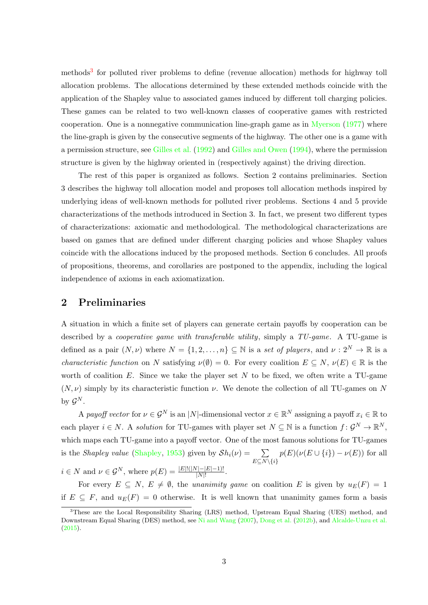methods<sup>[3](#page-4-0)</sup> for polluted river problems to define (revenue allocation) methods for highway toll allocation problems. The allocations determined by these extended methods coincide with the application of the Shapley value to associated games induced by different toll charging policies. These games can be related to two well-known classes of cooperative games with restricted cooperation. One is a nonnegative communication line-graph game as in [Myerson](#page-35-6) [\(1977\)](#page-35-6) where the line-graph is given by the consecutive segments of the highway. The other one is a game with a permission structure, see [Gilles et al.](#page-34-6) [\(1992\)](#page-34-6) and [Gilles and Owen](#page-34-7) [\(1994\)](#page-34-7), where the permission structure is given by the highway oriented in (respectively against) the driving direction.

The rest of this paper is organized as follows. Section 2 contains preliminaries. Section 3 describes the highway toll allocation model and proposes toll allocation methods inspired by underlying ideas of well-known methods for polluted river problems. Sections 4 and 5 provide characterizations of the methods introduced in Section 3. In fact, we present two different types of characterizations: axiomatic and methodological. The methodological characterizations are based on games that are defined under different charging policies and whose Shapley values coincide with the allocations induced by the proposed methods. Section 6 concludes. All proofs of propositions, theorems, and corollaries are postponed to the appendix, including the logical independence of axioms in each axiomatization.

## 2 Preliminaries

A situation in which a finite set of players can generate certain payoffs by cooperation can be described by a *cooperative game with transferable utility*, simply a TU-game. A TU-game is defined as a pair  $(N, \nu)$  where  $N = \{1, 2, ..., n\} \subseteq \mathbb{N}$  is a set of players, and  $\nu : 2^N \to \mathbb{R}$  is a *characteristic function* on N satisfying  $\nu(\emptyset) = 0$ . For every coalition  $E \subseteq N$ ,  $\nu(E) \in \mathbb{R}$  is the worth of coalition  $E$ . Since we take the player set  $N$  to be fixed, we often write a TU-game  $(N, \nu)$  simply by its characteristic function  $\nu$ . We denote the collection of all TU-games on N by  $\mathcal{G}^N$ .

A payoff vector for  $\nu \in \mathcal{G}^N$  is an |N|-dimensional vector  $x \in \mathbb{R}^N$  assigning a payoff  $x_i \in \mathbb{R}$  to each player  $i \in N$ . A solution for TU-games with player set  $N \subseteq \mathbb{N}$  is a function  $f: \mathcal{G}^N \to \mathbb{R}^N$ , which maps each TU-game into a payoff vector. One of the most famous solutions for TU-games is the Shapley value [\(Shapley,](#page-35-7) [1953\)](#page-35-7) given by  $\mathcal{S}h_i(\nu) = \sum_{\nu}$  $E\subseteq N\backslash\{i\}$  $p(E)(\nu(E \cup \{i\}) - \nu(E))$  for all  $i \in N$  and  $\nu \in \mathcal{G}^N$ , where  $p(E) = \frac{|E|!(|N|-|E|-1)!}{|N|!}$ .

For every  $E \subseteq N$ ,  $E \neq \emptyset$ , the unanimity game on coalition E is given by  $u_E(F) = 1$ if  $E \subseteq F$ , and  $u_E(F) = 0$  otherwise. It is well known that unanimity games form a basis

<span id="page-4-0"></span><sup>3</sup>These are the Local Responsibility Sharing (LRS) method, Upstream Equal Sharing (UES) method, and Downstream Equal Sharing (DES) method, see [Ni and Wang](#page-35-4) [\(2007\)](#page-35-4), [Dong et al.](#page-34-4) [\(2012b\)](#page-34-4), and [Alcalde-Unzu et al.](#page-33-1) [\(2015\)](#page-33-1).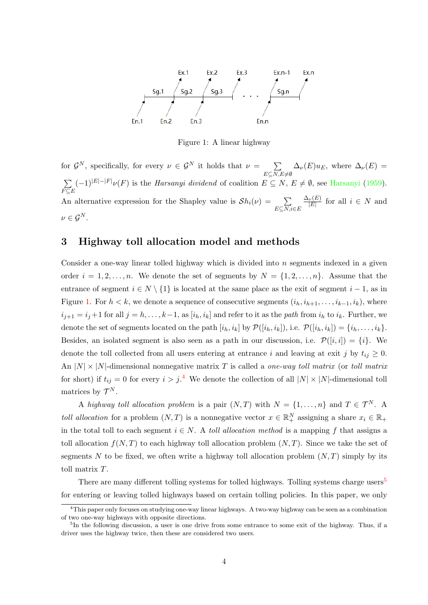

<span id="page-5-0"></span>Figure 1: A linear highway

for  $\mathcal{G}^N$ , specifically, for every  $\nu \in \mathcal{G}^N$  it holds that  $\nu = \sum_{i=1}^N \mathcal{G}^N$  $E\subseteq N, E\neq\emptyset$  $\Delta_{\nu}(E)u_E$ , where  $\Delta_{\nu}(E)$  =  $\sum_{i=1}^{\infty} (-1)^{|E|-|F|} \nu(F)$  is the *[Harsanyi](#page-34-8) dividend* of coalition  $E \subseteq N$ ,  $E \neq \emptyset$ , see Harsanyi [\(1959\)](#page-34-8).  $F{\subseteq}E$ An alternative expression for the Shapley value is  $\mathcal{S}h_i(\nu) = \sum_{\nu}$  $E\subseteq N, i\in E$  $\Delta_{\nu}(E)$  $\frac{\nu(E)}{|E|}$  for all  $i \in N$  and  $\nu \in \mathcal{G}^N$ .

## 3 Highway toll allocation model and methods

Consider a one-way linear tolled highway which is divided into  $n$  segments indexed in a given order  $i = 1, 2, \ldots, n$ . We denote the set of segments by  $N = \{1, 2, \ldots, n\}$ . Assume that the entrance of segment  $i \in N \setminus \{1\}$  is located at the same place as the exit of segment  $i - 1$ , as in Figure [1.](#page-5-0) For  $h < k$ , we denote a sequence of consecutive segments  $(i_h, i_{h+1}, \ldots, i_{k-1}, i_k)$ , where  $i_{j+1} = i_j + 1$  for all  $j = h, \ldots, k-1$ , as  $[i_h, i_k]$  and refer to it as the path from  $i_h$  to  $i_k$ . Further, we denote the set of segments located on the path  $[i_h, i_k]$  by  $\mathcal{P}([i_h, i_k])$ , i.e.  $\mathcal{P}([i_h, i_k]) = \{i_h, \ldots, i_k\}.$ Besides, an isolated segment is also seen as a path in our discussion, i.e.  $\mathcal{P}([i,i]) = \{i\}$ . We denote the toll collected from all users entering at entrance i and leaving at exit j by  $t_{ij} \geq 0$ . An  $|N| \times |N|$ -dimensional nonnegative matrix T is called a *one-way toll matrix* (or *toll matrix* for short) if  $t_{ij} = 0$  for every  $i > j$ .<sup>[4](#page-5-1)</sup> We denote the collection of all  $|N| \times |N|$ -dimensional toll matrices by  $\mathcal{T}^N$ .

A highway toll allocation problem is a pair  $(N, T)$  with  $N = \{1, \ldots, n\}$  and  $T \in \mathcal{T}^N$ . A toll allocation for a problem  $(N, T)$  is a nonnegative vector  $x \in \mathbb{R}^N_+$  assigning a share  $x_i \in \mathbb{R}_+$ in the total toll to each segment  $i \in N$ . A *toll allocation method* is a mapping f that assigns a toll allocation  $f(N,T)$  to each highway toll allocation problem  $(N,T)$ . Since we take the set of segments N to be fixed, we often write a highway toll allocation problem  $(N, T)$  simply by its toll matrix T.

There are many different tolling systems for tolled highways. Tolling systems charge users<sup>[5](#page-5-2)</sup> for entering or leaving tolled highways based on certain tolling policies. In this paper, we only

<span id="page-5-1"></span><sup>&</sup>lt;sup>4</sup>This paper only focuses on studying one-way linear highways. A two-way highway can be seen as a combination of two one-way highways with opposite directions.

<span id="page-5-2"></span><sup>&</sup>lt;sup>5</sup>In the following discussion, a user is one drive from some entrance to some exit of the highway. Thus, if a driver uses the highway twice, then these are considered two users.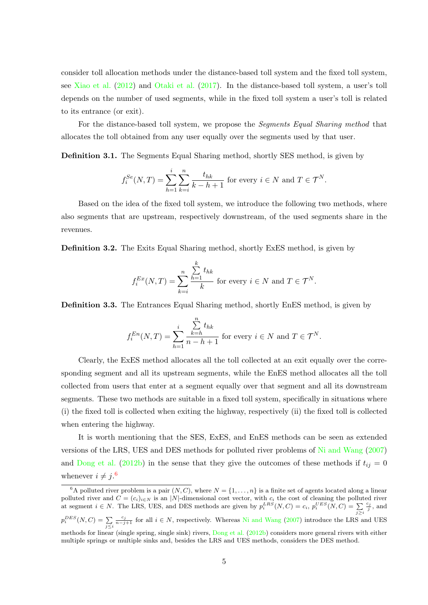consider toll allocation methods under the distance-based toll system and the fixed toll system, see [Xiao et al.](#page-36-0) [\(2012\)](#page-36-0) and [Otaki et al.](#page-35-8) [\(2017\)](#page-35-8). In the distance-based toll system, a user's toll depends on the number of used segments, while in the fixed toll system a user's toll is related to its entrance (or exit).

For the distance-based toll system, we propose the Segments Equal Sharing method that allocates the toll obtained from any user equally over the segments used by that user.

Definition 3.1. The Segments Equal Sharing method, shortly SES method, is given by

$$
f_i^{Se}(N,T) = \sum_{h=1}^i \sum_{k=i}^n \frac{t_{hk}}{k-h+1}
$$
 for every  $i \in N$  and  $T \in \mathcal{T}^N$ .

Based on the idea of the fixed toll system, we introduce the following two methods, where also segments that are upstream, respectively downstream, of the used segments share in the revenues.

Definition 3.2. The Exits Equal Sharing method, shortly ExES method, is given by

$$
f_i^{Ex}(N,T) = \sum_{k=i}^{n} \frac{\sum_{h=1}^{k} t_{hk}}{k}
$$
 for every  $i \in N$  and  $T \in \mathcal{T}^N$ .

Definition 3.3. The Entrances Equal Sharing method, shortly EnES method, is given by

$$
f_i^{En}(N, T) = \sum_{h=1}^i \frac{\sum_{k=h}^n t_{hk}}{n-h+1}
$$
 for every  $i \in N$  and  $T \in \mathcal{T}^N$ .

Clearly, the ExES method allocates all the toll collected at an exit equally over the corresponding segment and all its upstream segments, while the EnES method allocates all the toll collected from users that enter at a segment equally over that segment and all its downstream segments. These two methods are suitable in a fixed toll system, specifically in situations where (i) the fixed toll is collected when exiting the highway, respectively (ii) the fixed toll is collected when entering the highway.

It is worth mentioning that the SES, ExES, and EnES methods can be seen as extended versions of the LRS, UES and DES methods for polluted river problems of [Ni and Wang](#page-35-4) [\(2007\)](#page-35-4) and [Dong et al.](#page-34-4) [\(2012b\)](#page-34-4) in the sense that they give the outcomes of these methods if  $t_{ij} = 0$ whenever  $i \neq j$ .<sup>[6](#page-6-0)</sup>

<span id="page-6-0"></span><sup>&</sup>lt;sup>6</sup>A polluted river problem is a pair  $(N, C)$ , where  $N = \{1, \ldots, n\}$  is a finite set of agents located along a linear polluted river and  $C = (c_i)_{i \in N}$  is an |N|-dimensional cost vector, with  $c_i$  the cost of cleaning the polluted river at segment  $i \in N$ . The LRS, UES, and DES methods are given by  $p_i^{LRS}(N, C) = c_i$ ,  $p_i^{UES}(N, C) = \sum_{j \geq i}$  $\frac{c_j}{j}$ , and  $p_i^{DES}(N, C) = \sum_{j \leq i}$  $\frac{c_j}{n-j+1}$  for all *i* ∈ N, respectively. Whereas [Ni and Wang](#page-35-4) [\(2007\)](#page-35-4) introduce the LRS and UES methods for linear (single spring, single sink) rivers, [Dong et al.](#page-34-4) [\(2012b\)](#page-34-4) considers more general rivers with either multiple springs or multiple sinks and, besides the LRS and UES methods, considers the DES method.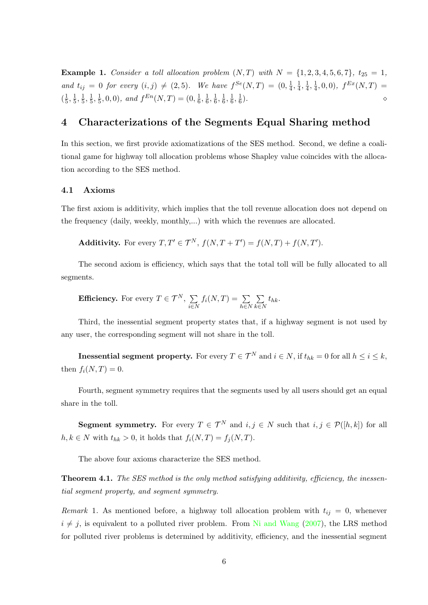<span id="page-7-0"></span>**Example 1.** Consider a toll allocation problem  $(N, T)$  with  $N = \{1, 2, 3, 4, 5, 6, 7\}$ ,  $t_{25} = 1$ , and  $t_{ij} = 0$  for every  $(i, j) \neq (2, 5)$ . We have  $f^{Se}(N, T) = (0, \frac{1}{4})$  $\frac{1}{4}, \frac{1}{4}$  $\frac{1}{4}, \frac{1}{4}$  $\frac{1}{4}, \frac{1}{4}$  $\frac{1}{4}, 0, 0), f^{Ex}(N, T) =$  $\left(\frac{1}{5}\right)$  $\frac{1}{5}, \frac{1}{5}$  $\frac{1}{5}, \frac{1}{5}$  $\frac{1}{5}, \frac{1}{5}$  $\frac{1}{5}, \frac{1}{5}$  $(\frac{1}{5},0,0)$ , and  $f^{En}(N,T) = (0, \frac{1}{6})$  $\frac{1}{6}, \frac{1}{6}$  $\frac{1}{6}, \frac{1}{6}$  $\frac{1}{6}, \frac{1}{6}$  $\frac{1}{6}, \frac{1}{6}$  $\frac{1}{6}, \frac{1}{6}$ 6 ).  $\qquad \qquad \diamond$ 

# 4 Characterizations of the Segments Equal Sharing method

In this section, we first provide axiomatizations of the SES method. Second, we define a coalitional game for highway toll allocation problems whose Shapley value coincides with the allocation according to the SES method.

## 4.1 Axioms

The first axiom is additivity, which implies that the toll revenue allocation does not depend on the frequency (daily, weekly, monthly,...) with which the revenues are allocated.

Additivity. For every  $T, T' \in \mathcal{T}^N$ ,  $f(N, T + T') = f(N, T) + f(N, T')$ .

The second axiom is efficiency, which says that the total toll will be fully allocated to all segments.

**Efficiency.** For every 
$$
T \in \mathcal{T}^N
$$
,  $\sum_{i \in N} f_i(N,T) = \sum_{h \in N} \sum_{k \in N} t_{hk}$ .

Third, the inessential segment property states that, if a highway segment is not used by any user, the corresponding segment will not share in the toll.

**Inessential segment property.** For every  $T \in \mathcal{T}^N$  and  $i \in N$ , if  $t_{hk} = 0$  for all  $h \le i \le k$ , then  $f_i(N,T) = 0$ .

Fourth, segment symmetry requires that the segments used by all users should get an equal share in the toll.

**Segment symmetry.** For every  $T \in \mathcal{T}^N$  and  $i, j \in N$  such that  $i, j \in \mathcal{P}([h,k])$  for all  $h, k \in N$  with  $t_{hk} > 0$ , it holds that  $f_i(N, T) = f_j(N, T)$ .

The above four axioms characterize the SES method.

<span id="page-7-1"></span>**Theorem 4.1.** The SES method is the only method satisfying additivity, efficiency, the inessential segment property, and segment symmetry.

Remark 1. As mentioned before, a highway toll allocation problem with  $t_{ij} = 0$ , whenever  $i \neq j$ , is equivalent to a polluted river problem. From [Ni and Wang](#page-35-4) [\(2007\)](#page-35-4), the LRS method for polluted river problems is determined by additivity, efficiency, and the inessential segment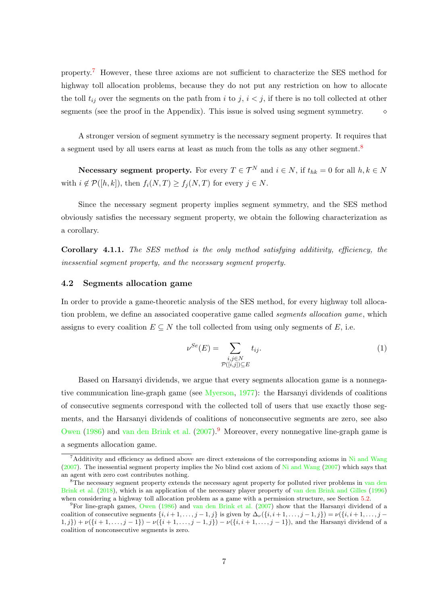property.[7](#page-8-0) However, these three axioms are not sufficient to characterize the SES method for highway toll allocation problems, because they do not put any restriction on how to allocate the toll  $t_{ij}$  over the segments on the path from i to j,  $i < j$ , if there is no toll collected at other segments (see the proof in the Appendix). This issue is solved using segment symmetry.  $\diamond$ 

A stronger version of segment symmetry is the necessary segment property. It requires that a segment used by all users earns at least as much from the tolls as any other segment.<sup>[8](#page-8-1)</sup>

Necessary segment property. For every  $T \in \mathcal{T}^N$  and  $i \in N$ , if  $t_{hk} = 0$  for all  $h, k \in N$ with  $i \notin \mathcal{P}([h,k])$ , then  $f_i(N,T) \geq f_j(N,T)$  for every  $j \in N$ .

Since the necessary segment property implies segment symmetry, and the SES method obviously satisfies the necessary segment property, we obtain the following characterization as a corollary.

<span id="page-8-3"></span>Corollary 4.1.1. The SES method is the only method satisfying additivity, efficiency, the inessential segment property, and the necessary segment property.

### 4.2 Segments allocation game

In order to provide a game-theoretic analysis of the SES method, for every highway toll allocation problem, we define an associated cooperative game called *segments allocation game*, which assigns to every coalition  $E \subseteq N$  the toll collected from using only segments of E, i.e.

<span id="page-8-4"></span>
$$
\nu^{Se}(E) = \sum_{\substack{i,j \in N \\ \mathcal{P}([i,j]) \subseteq E}} t_{ij}.
$$
\n(1)

Based on Harsanyi dividends, we argue that every segments allocation game is a nonnegative communication line-graph game (see [Myerson,](#page-35-6) [1977\)](#page-35-6): the Harsanyi dividends of coalitions of consecutive segments correspond with the collected toll of users that use exactly those segments, and the Harsanyi dividends of coalitions of nonconsecutive segments are zero, see also [Owen](#page-35-9) [\(1986\)](#page-35-9) and [van den Brink et al.](#page-35-10)  $(2007)$ .<sup>[9](#page-8-2)</sup> Moreover, every nonnegative line-graph game is a segments allocation game.

<span id="page-8-0"></span><sup>&</sup>lt;sup>7</sup>Additivity and efficiency as defined above are direct extensions of the corresponding axioms in [Ni and Wang](#page-35-4)  $(2007)$ . The inessential segment property implies the No blind cost axiom of [Ni and Wang](#page-35-4)  $(2007)$  which says that an agent with zero cost contributes nothing.

<span id="page-8-1"></span><sup>&</sup>lt;sup>8</sup>The necessary segment property extends the necessary agent property for polluted river problems in [van den](#page-35-5) [Brink et al.](#page-35-5) [\(2018\)](#page-35-5), which is an application of the necessary player property of [van den Brink and Gilles](#page-35-11) [\(1996\)](#page-35-11) when considering a highway toll allocation problem as a game with a permission structure, see Section [5.2.](#page-14-0)

<span id="page-8-2"></span><sup>9</sup>For line-graph games, [Owen](#page-35-9) [\(1986\)](#page-35-9) and [van den Brink et al.](#page-35-10) [\(2007\)](#page-35-10) show that the Harsanyi dividend of a coalition of consecutive segments  $\{i, i+1, \ldots, j-1, j\}$  is given by  $\Delta_{\nu}(\{i, i+1, \ldots, j-1, j\}) = \nu(\{i, i+1, \ldots, j-1, j\})$  $(1, j) + \nu(\{i+1, \ldots, j-1\}) - \nu(\{i+1, \ldots, j-1, j\}) - \nu(\{i, i+1, \ldots, j-1\})$ , and the Harsanyi dividend of a coalition of nonconsecutive segments is zero.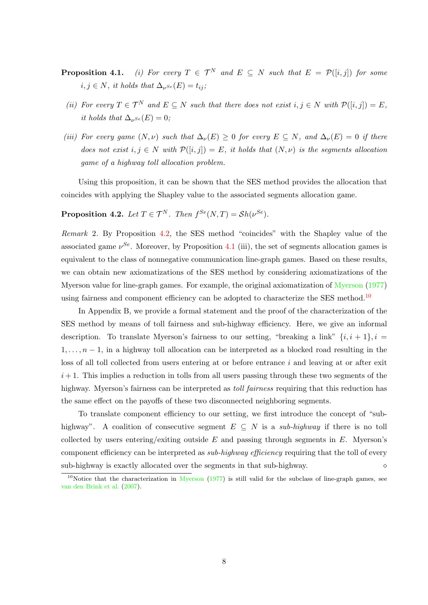- **Proposition 4.1.** (i) For every  $T \in \mathcal{T}^N$  and  $E \subseteq N$  such that  $E = \mathcal{P}([i,j])$  for some  $i, j \in N$ , it holds that  $\Delta_{\nu^{Se}}(E) = t_{ij}$ ;
	- (ii) For every  $T \in \mathcal{T}^N$  and  $E \subseteq N$  such that there does not exist  $i, j \in N$  with  $\mathcal{P}([i, j]) = E$ , it holds that  $\Delta_{\nu^{Se}}(E) = 0$ ;
- (iii) For every game  $(N, \nu)$  such that  $\Delta_{\nu}(E) \geq 0$  for every  $E \subseteq N$ , and  $\Delta_{\nu}(E) = 0$  if there does not exist  $i, j \in N$  with  $\mathcal{P}([i,j]) = E$ , it holds that  $(N, \nu)$  is the segments allocation game of a highway toll allocation problem.

Using this proposition, it can be shown that the SES method provides the allocation that coincides with applying the Shapley value to the associated segments allocation game.

<span id="page-9-0"></span>**Proposition 4.2.** Let  $T \in \mathcal{T}^N$ . Then  $f^{Se}(N,T) = Sh(\nu^{Se})$ .

<span id="page-9-2"></span>Remark 2. By Proposition [4.2,](#page-9-0) the SES method "coincides" with the Shapley value of the associated game  $\nu^{Se}$ . Moreover, by Proposition [4.1](#page-2-2) (iii), the set of segments allocation games is equivalent to the class of nonnegative communication line-graph games. Based on these results, we can obtain new axiomatizations of the SES method by considering axiomatizations of the Myerson value for line-graph games. For example, the original axiomatization of [Myerson](#page-35-6) [\(1977\)](#page-35-6) using fairness and component efficiency can be adopted to characterize the SES method.<sup>[10](#page-9-1)</sup>

In Appendix B, we provide a formal statement and the proof of the characterization of the SES method by means of toll fairness and sub-highway efficiency. Here, we give an informal description. To translate Myerson's fairness to our setting, "breaking a link"  $\{i, i+1\}$ ,  $i =$  $1, \ldots, n-1$ , in a highway toll allocation can be interpreted as a blocked road resulting in the loss of all toll collected from users entering at or before entrance i and leaving at or after exit  $i+1$ . This implies a reduction in tolls from all users passing through these two segments of the highway. Myerson's fairness can be interpreted as *toll fairness* requiring that this reduction has the same effect on the payoffs of these two disconnected neighboring segments.

To translate component efficiency to our setting, we first introduce the concept of "subhighway". A coalition of consecutive segment  $E \subseteq N$  is a sub-highway if there is no toll collected by users entering/exiting outside  $E$  and passing through segments in  $E$ . Myerson's component efficiency can be interpreted as *sub-highway efficiency* requiring that the toll of every sub-highway is exactly allocated over the segments in that sub-highway.  $\diamond$ 

<span id="page-9-1"></span><sup>&</sup>lt;sup>10</sup>Notice that the characterization in [Myerson](#page-35-6) [\(1977\)](#page-35-6) is still valid for the subclass of line-graph games, see [van den Brink et al.](#page-35-10) [\(2007\)](#page-35-10).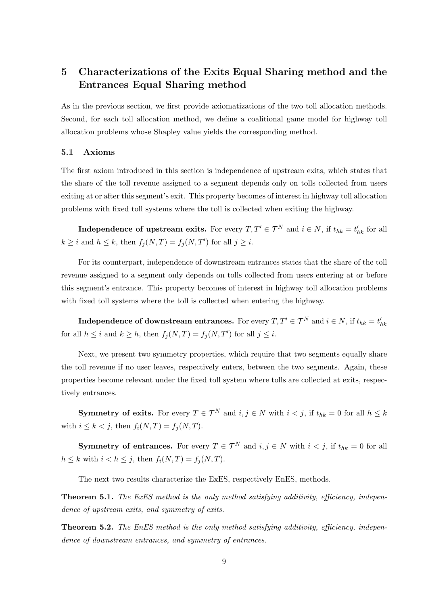# 5 Characterizations of the Exits Equal Sharing method and the Entrances Equal Sharing method

As in the previous section, we first provide axiomatizations of the two toll allocation methods. Second, for each toll allocation method, we define a coalitional game model for highway toll allocation problems whose Shapley value yields the corresponding method.

### 5.1 Axioms

The first axiom introduced in this section is independence of upstream exits, which states that the share of the toll revenue assigned to a segment depends only on tolls collected from users exiting at or after this segment's exit. This property becomes of interest in highway toll allocation problems with fixed toll systems where the toll is collected when exiting the highway.

**Independence of upstream exits.** For every  $T, T' \in \mathcal{T}^N$  and  $i \in N$ , if  $t_{hk} = t'_{hk}$  for all  $k \geq i$  and  $h \leq k$ , then  $f_j(N,T) = f_j(N,T')$  for all  $j \geq i$ .

For its counterpart, independence of downstream entrances states that the share of the toll revenue assigned to a segment only depends on tolls collected from users entering at or before this segment's entrance. This property becomes of interest in highway toll allocation problems with fixed toll systems where the toll is collected when entering the highway.

Independence of downstream entrances. For every  $T,T'\in \mathcal{T}^N$  and  $i\in N,$  if  $t_{hk}=t'_{hk}$ for all  $h \leq i$  and  $k \geq h$ , then  $f_j(N,T) = f_j(N,T')$  for all  $j \leq i$ .

Next, we present two symmetry properties, which require that two segments equally share the toll revenue if no user leaves, respectively enters, between the two segments. Again, these properties become relevant under the fixed toll system where tolls are collected at exits, respectively entrances.

**Symmetry of exits.** For every  $T \in \mathcal{T}^N$  and  $i, j \in \mathbb{N}$  with  $i < j$ , if  $t_{hk} = 0$  for all  $h \leq k$ with  $i \leq k < j$ , then  $f_i(N,T) = f_i(N,T)$ .

**Symmetry of entrances.** For every  $T \in \mathcal{T}^N$  and  $i, j \in N$  with  $i < j$ , if  $t_{hk} = 0$  for all  $h \leq k$  with  $i < h \leq j$ , then  $f_i(N,T) = f_i(N,T)$ .

The next two results characterize the ExES, respectively EnES, methods.

<span id="page-10-0"></span>**Theorem 5.1.** The ExES method is the only method satisfying additivity, efficiency, independence of upstream exits, and symmetry of exits.

<span id="page-10-1"></span>**Theorem 5.2.** The EnES method is the only method satisfying additivity, efficiency, independence of downstream entrances, and symmetry of entrances.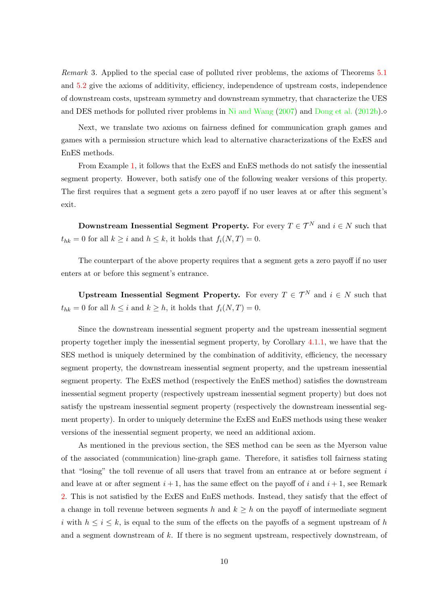Remark 3. Applied to the special case of polluted river problems, the axioms of Theorems [5.1](#page-10-0) and [5.2](#page-10-1) give the axioms of additivity, efficiency, independence of upstream costs, independence of downstream costs, upstream symmetry and downstream symmetry, that characterize the UES and DES methods for polluted river problems in [Ni and Wang](#page-35-4) [\(2007\)](#page-35-4) and [Dong et al.](#page-34-4) [\(2012b\)](#page-34-4).

Next, we translate two axioms on fairness defined for communication graph games and games with a permission structure which lead to alternative characterizations of the ExES and EnES methods.

From Example [1,](#page-7-0) it follows that the ExES and EnES methods do not satisfy the inessential segment property. However, both satisfy one of the following weaker versions of this property. The first requires that a segment gets a zero payoff if no user leaves at or after this segment's exit.

Downstream Inessential Segment Property. For every  $T \in \mathcal{T}^N$  and  $i \in N$  such that  $t_{hk} = 0$  for all  $k \geq i$  and  $h \leq k$ , it holds that  $f_i(N,T) = 0$ .

The counterpart of the above property requires that a segment gets a zero payoff if no user enters at or before this segment's entrance.

Upstream Inessential Segment Property. For every  $T \in \mathcal{T}^N$  and  $i \in N$  such that  $t_{hk} = 0$  for all  $h \leq i$  and  $k \geq h$ , it holds that  $f_i(N,T) = 0$ .

Since the downstream inessential segment property and the upstream inessential segment property together imply the inessential segment property, by Corollary [4.1.1,](#page-8-3) we have that the SES method is uniquely determined by the combination of additivity, efficiency, the necessary segment property, the downstream inessential segment property, and the upstream inessential segment property. The ExES method (respectively the EnES method) satisfies the downstream inessential segment property (respectively upstream inessential segment property) but does not satisfy the upstream inessential segment property (respectively the downstream inessential segment property). In order to uniquely determine the ExES and EnES methods using these weaker versions of the inessential segment property, we need an additional axiom.

As mentioned in the previous section, the SES method can be seen as the Myerson value of the associated (communication) line-graph game. Therefore, it satisfies toll fairness stating that "losing" the toll revenue of all users that travel from an entrance at or before segment  $i$ and leave at or after segment  $i + 1$ , has the same effect on the payoff of i and  $i + 1$ , see Remark [2.](#page-9-2) This is not satisfied by the ExES and EnES methods. Instead, they satisfy that the effect of a change in toll revenue between segments h and  $k \geq h$  on the payoff of intermediate segment i with  $h \leq i \leq k$ , is equal to the sum of the effects on the payoffs of a segment upstream of h and a segment downstream of  $k$ . If there is no segment upstream, respectively downstream, of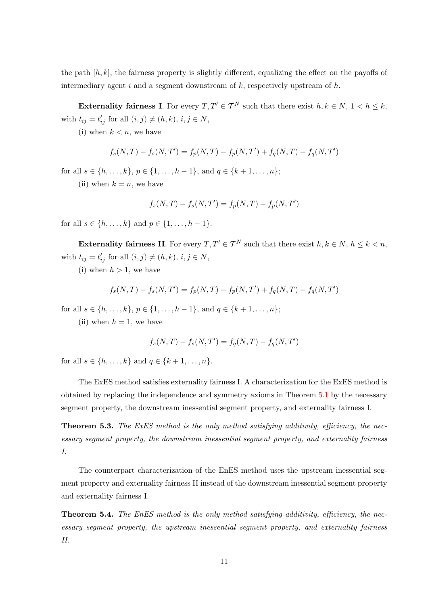the path  $[h, k]$ , the fairness property is slightly different, equalizing the effect on the payoffs of intermediary agent i and a segment downstream of  $k$ , respectively upstream of  $h$ .

Externality fairness I. For every  $T, T' \in \mathcal{T}^N$  such that there exist  $h, k \in \mathbb{N}, 1 \leq h \leq k$ , with  $t_{ij} = t'_{ij}$  for all  $(i, j) \neq (h, k), i, j \in N$ ,

(i) when  $k < n$ , we have

$$
f_s(N,T) - f_s(N,T') = f_p(N,T) - f_p(N,T') + f_q(N,T) - f_q(N,T')
$$

for all  $s \in \{h, \ldots, k\}, p \in \{1, \ldots, h-1\}, \text{ and } q \in \{k+1, \ldots, n\};$ 

(ii) when  $k = n$ , we have

$$
f_s(N,T) - f_s(N,T') = f_p(N,T) - f_p(N,T')
$$

for all  $s \in \{h, \ldots, k\}$  and  $p \in \{1, \ldots, h-1\}$ .

Externality fairness II. For every  $T, T' \in \mathcal{T}^N$  such that there exist  $h, k \in \mathbb{N}$ ,  $h \leq k \leq n$ , with  $t_{ij} = t'_{ij}$  for all  $(i, j) \neq (h, k), i, j \in N$ ,

(i) when  $h > 1$ , we have

$$
f_s(N,T) - f_s(N,T') = f_p(N,T) - f_p(N,T') + f_q(N,T) - f_q(N,T')
$$

for all  $s \in \{h, \ldots, k\}, p \in \{1, \ldots, h-1\}, \text{ and } q \in \{k+1, \ldots, n\};$ 

(ii) when  $h = 1$ , we have

$$
f_s(N,T) - f_s(N,T') = f_q(N,T) - f_q(N,T')
$$

for all  $s \in \{h, ..., k\}$  and  $q \in \{k+1, ..., n\}$ .

The ExES method satisfies externality fairness I. A characterization for the ExES method is obtained by replacing the independence and symmetry axioms in Theorem [5.1](#page-10-0) by the necessary segment property, the downstream inessential segment property, and externality fairness I.

<span id="page-12-0"></span>**Theorem 5.3.** The ExES method is the only method satisfying additivity, efficiency, the necessary segment property, the downstream inessential segment property, and externality fairness I.

The counterpart characterization of the EnES method uses the upstream inessential segment property and externality fairness II instead of the downstream inessential segment property and externality fairness I.

<span id="page-12-1"></span>**Theorem 5.4.** The EnES method is the only method satisfying additivity, efficiency, the necessary segment property, the upstream inessential segment property, and externality fairness II.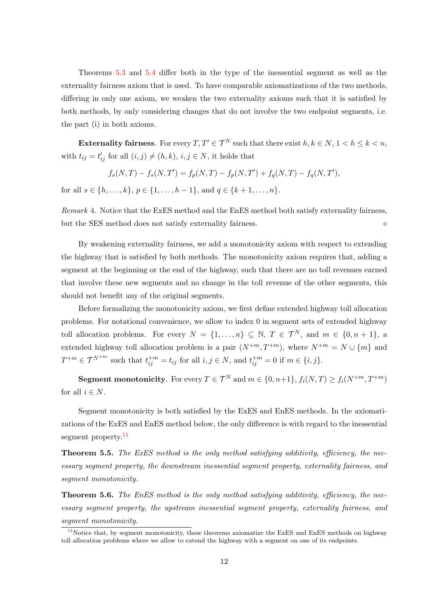Theorems [5.3](#page-12-0) and [5.4](#page-12-1) differ both in the type of the inessential segment as well as the externality fairness axiom that is used. To have comparable axiomatizations of the two methods, differing in only one axiom, we weaken the two externality axioms such that it is satisfied by both methods, by only considering changes that do not involve the two endpoint segments, i.e. the part (i) in both axioms.

Externality fairness. For every  $T, T' \in \mathcal{T}^N$  such that there exist  $h, k \in \mathbb{N}, 1 \leq h \leq k \leq n$ , with  $t_{ij} = t'_{ij}$  for all  $(i, j) \neq (h, k)$ ,  $i, j \in N$ , it holds that

$$
f_s(N,T) - f_s(N,T') = f_p(N,T) - f_p(N,T') + f_q(N,T) - f_q(N,T'),
$$

for all  $s \in \{h, \ldots, k\}, p \in \{1, \ldots, h-1\}, \text{ and } q \in \{k+1, \ldots, n\}.$ 

Remark 4. Notice that the ExES method and the EnES method both satisfy externality fairness, but the SES method does not satisfy externality fairness.

By weakening externality fairness, we add a monotonicity axiom with respect to extending the highway that is satisfied by both methods. The monotonicity axiom requires that, adding a segment at the beginning or the end of the highway, such that there are no toll revenues earned that involve these new segments and no change in the toll revenue of the other segments, this should not benefit any of the original segments.

Before formalizing the monotonicity axiom, we first define extended highway toll allocation problems. For notational convenience, we allow to index 0 in segment sets of extended highway toll allocation problems. For every  $N = \{1, ..., n\} \subseteq \mathbb{N}, T \in \mathcal{T}^N$ , and  $m \in \{0, n + 1\}$ , a extended highway toll allocation problem is a pair  $(N^{+m}, T^{+m})$ , where  $N^{+m} = N \cup \{m\}$  and  $T^{+m} \in \mathcal{T}^{N+m}$  such that  $t_{ij}^{+m} = t_{ij}$  for all  $i, j \in N$ , and  $t_{ij}^{+m} = 0$  if  $m \in \{i, j\}$ .

**Segment monotonicity**. For every  $T \in \mathcal{T}^N$  and  $m \in \{0, n+1\}$ ,  $f_i(N, T) \ge f_i(N^{+m}, T^{+m})$ for all  $i \in N$ .

Segment monotonicity is both satisfied by the ExES and EnES methods. In the axiomatizations of the ExES and EnES method below, the only difference is with regard to the inessential segment property.<sup>[11](#page-13-0)</sup>

<span id="page-13-1"></span>**Theorem 5.5.** The ExES method is the only method satisfying additivity, efficiency, the necessary segment property, the downstream inessential segment property, externality fairness, and segment monotonicity.

<span id="page-13-2"></span>**Theorem 5.6.** The EnES method is the only method satisfying additivity, efficiency, the necessary segment property, the upstream inessential segment property, externality fairness, and segment monotonicity.

<span id="page-13-0"></span> $11$ Notice that, by segment monotonicity, these theorems axiomatize the ExES and EnES methods on highway toll allocation problems where we allow to extend the highway with a segment on one of its endpoints.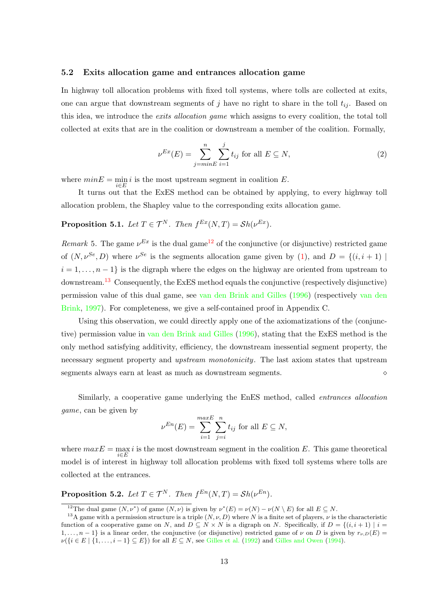#### <span id="page-14-0"></span>5.2 Exits allocation game and entrances allocation game

In highway toll allocation problems with fixed toll systems, where tolls are collected at exits, one can argue that downstream segments of j have no right to share in the toll  $t_{ij}$ . Based on this idea, we introduce the *exits allocation game* which assigns to every coalition, the total toll collected at exits that are in the coalition or downstream a member of the coalition. Formally,

<span id="page-14-5"></span>
$$
\nu^{Ex}(E) = \sum_{j=\min E}^{n} \sum_{i=1}^{j} t_{ij} \text{ for all } E \subseteq N,
$$
\n(2)

where  $minE = \min_{i \in E} i$  is the most upstream segment in coalition E.

It turns out that the ExES method can be obtained by applying, to every highway toll allocation problem, the Shapley value to the corresponding exits allocation game.

<span id="page-14-3"></span>**Proposition 5.1.** Let  $T \in \mathcal{T}^N$ . Then  $f^{Ex}(N,T) = Sh(\nu^{Ex})$ .

<span id="page-14-4"></span>Remark 5. The game  $\nu^{Ex}$  is the dual game<sup>[12](#page-14-1)</sup> of the conjunctive (or disjunctive) restricted game of  $(N, \nu^{Se}, D)$  where  $\nu^{Se}$  is the segments allocation game given by [\(1\)](#page-8-4), and  $D = \{(i, i + 1) \mid$  $i = 1, \ldots, n-1$  is the digraph where the edges on the highway are oriented from upstream to downstream.<sup>[13](#page-14-2)</sup> Consequently, the ExES method equals the conjunctive (respectively disjunctive) permission value of this dual game, see [van den Brink and Gilles](#page-35-11) [\(1996\)](#page-35-11) (respectively [van den](#page-35-12) [Brink,](#page-35-12) [1997\)](#page-35-12). For completeness, we give a self-contained proof in Appendix C.

Using this observation, we could directly apply one of the axiomatizations of the (conjunctive) permission value in [van den Brink and Gilles](#page-35-11) [\(1996\)](#page-35-11), stating that the ExES method is the only method satisfying additivity, efficiency, the downstream inessential segment property, the necessary segment property and *upstream monotonicity*. The last axiom states that upstream segments always earn at least as much as downstream segments.

Similarly, a cooperative game underlying the EnES method, called entrances allocation game, can be given by

$$
\nu^{En}(E) = \sum_{i=1}^{maxE} \sum_{j=i}^{n} t_{ij}
$$
 for all  $E \subseteq N$ ,

where  $maxE = \max_{i \in E} i$  is the most downstream segment in the coalition E. This game theoretical model is of interest in highway toll allocation problems with fixed toll systems where tolls are collected at the entrances.

<span id="page-14-6"></span>**Proposition 5.2.** Let  $T \in \mathcal{T}^N$ . Then  $f^{En}(N, T) = Sh(\nu^{En})$ .

<span id="page-14-2"></span><span id="page-14-1"></span><sup>&</sup>lt;sup>12</sup>The dual game  $(N, \nu^*)$  of game  $(N, \nu)$  is given by  $\nu^*(E) = \nu(N) - \nu(N \setminus E)$  for all  $E \subseteq N$ .

<sup>&</sup>lt;sup>13</sup>A game with a permission structure is a triple  $(N, \nu, D)$  where N is a finite set of players,  $\nu$  is the characteristic function of a cooperative game on N, and  $D \subseteq N \times N$  is a digraph on N. Specifically, if  $D = \{(i, i + 1) | i =$  $1, \ldots, n-1$  is a linear order, the conjunctive (or disjunctive) restricted game of  $\nu$  on D is given by  $r_{\nu,D}(E)$  $\nu(\{i \in E \mid \{1, \ldots, i-1\} \subseteq E\})$  for all  $E \subseteq N$ , see [Gilles et al.](#page-34-6) [\(1992\)](#page-34-6) and [Gilles and Owen](#page-34-7) [\(1994\)](#page-34-7).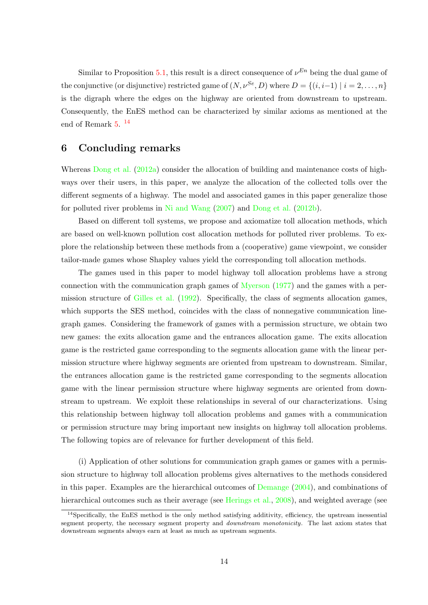Similar to Proposition [5.1,](#page-14-3) this result is a direct consequence of  $\nu^{En}$  being the dual game of the conjunctive (or disjunctive) restricted game of  $(N, \nu^{Se}, D)$  where  $D = \{(i, i-1) | i = 2, \ldots, n\}$ is the digraph where the edges on the highway are oriented from downstream to upstream. Consequently, the EnES method can be characterized by similar axioms as mentioned at the end of Remark [5.](#page-14-4) [14](#page-15-0)

## 6 Concluding remarks

Whereas [Dong et al.](#page-34-1) [\(2012a\)](#page-34-1) consider the allocation of building and maintenance costs of highways over their users, in this paper, we analyze the allocation of the collected tolls over the different segments of a highway. The model and associated games in this paper generalize those for polluted river problems in [Ni and Wang](#page-35-4) [\(2007\)](#page-35-4) and [Dong et al.](#page-34-4) [\(2012b\)](#page-34-4).

Based on different toll systems, we propose and axiomatize toll allocation methods, which are based on well-known pollution cost allocation methods for polluted river problems. To explore the relationship between these methods from a (cooperative) game viewpoint, we consider tailor-made games whose Shapley values yield the corresponding toll allocation methods.

The games used in this paper to model highway toll allocation problems have a strong connection with the communication graph games of [Myerson](#page-35-6) [\(1977\)](#page-35-6) and the games with a permission structure of [Gilles et al.](#page-34-6) [\(1992\)](#page-34-6). Specifically, the class of segments allocation games, which supports the SES method, coincides with the class of nonnegative communication linegraph games. Considering the framework of games with a permission structure, we obtain two new games: the exits allocation game and the entrances allocation game. The exits allocation game is the restricted game corresponding to the segments allocation game with the linear permission structure where highway segments are oriented from upstream to downstream. Similar, the entrances allocation game is the restricted game corresponding to the segments allocation game with the linear permission structure where highway segments are oriented from downstream to upstream. We exploit these relationships in several of our characterizations. Using this relationship between highway toll allocation problems and games with a communication or permission structure may bring important new insights on highway toll allocation problems. The following topics are of relevance for further development of this field.

(i) Application of other solutions for communication graph games or games with a permission structure to highway toll allocation problems gives alternatives to the methods considered in this paper. Examples are the hierarchical outcomes of  $Demange (2004)$  $Demange (2004)$  $Demange (2004)$ , and combinations of hierarchical outcomes such as their average (see [Herings et al.,](#page-34-10) [2008\)](#page-34-10), and weighted average (see

<span id="page-15-0"></span><sup>&</sup>lt;sup>14</sup>Specifically, the EnES method is the only method satisfying additivity, efficiency, the upstream inessential segment property, the necessary segment property and *downstream monotonicity*. The last axiom states that downstream segments always earn at least as much as upstream segments.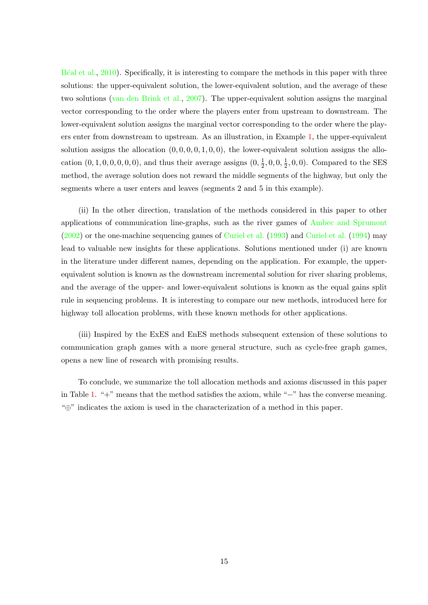B<sup> $\acute{e}$ [al et al.,](#page-34-11) [2010\)](#page-34-11). Specifically, it is interesting to compare the methods in this paper with three</sup> solutions: the upper-equivalent solution, the lower-equivalent solution, and the average of these two solutions [\(van den Brink et al.,](#page-35-10) [2007\)](#page-35-10). The upper-equivalent solution assigns the marginal vector corresponding to the order where the players enter from upstream to downstream. The lower-equivalent solution assigns the marginal vector corresponding to the order where the players enter from downstream to upstream. As an illustration, in Example [1,](#page-7-0) the upper-equivalent solution assigns the allocation  $(0, 0, 0, 0, 1, 0, 0)$ , the lower-equivalent solution assigns the allocation  $(0, 1, 0, 0, 0, 0, 0)$ , and thus their average assigns  $(0, \frac{1}{2})$  $\frac{1}{2}$ , 0, 0,  $\frac{1}{2}$  $\frac{1}{2}$ , 0, 0). Compared to the SES method, the average solution does not reward the middle segments of the highway, but only the segments where a user enters and leaves (segments 2 and 5 in this example).

(ii) In the other direction, translation of the methods considered in this paper to other applications of communication line-graphs, such as the river games of [Ambec and Sprumont](#page-33-2) [\(2002\)](#page-33-2) or the one-machine sequencing games of [Curiel et al.](#page-34-12) [\(1993\)](#page-34-12) and [Curiel et al.](#page-34-13) [\(1994\)](#page-34-13) may lead to valuable new insights for these applications. Solutions mentioned under (i) are known in the literature under different names, depending on the application. For example, the upperequivalent solution is known as the downstream incremental solution for river sharing problems, and the average of the upper- and lower-equivalent solutions is known as the equal gains split rule in sequencing problems. It is interesting to compare our new methods, introduced here for highway toll allocation problems, with these known methods for other applications.

(iii) Inspired by the ExES and EnES methods subsequent extension of these solutions to communication graph games with a more general structure, such as cycle-free graph games, opens a new line of research with promising results.

To conclude, we summarize the toll allocation methods and axioms discussed in this paper in Table [1.](#page-17-0) "+" means that the method satisfies the axiom, while "−" has the converse meaning. "⊕" indicates the axiom is used in the characterization of a method in this paper.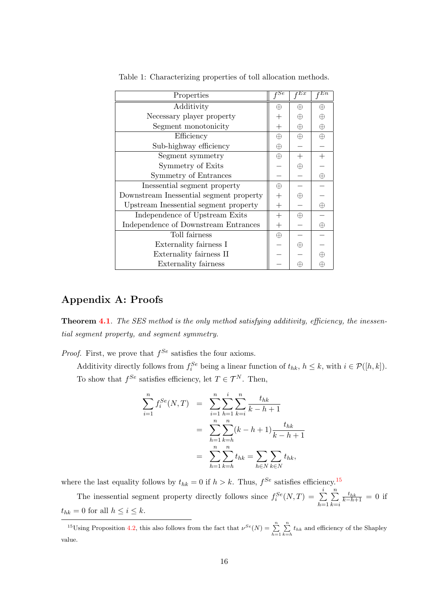| Properties                              | $_{\it fSe}$       | $_{\textit{\text{f}}Ex}$ | $_{\text{{\it f}} E n}$ |
|-----------------------------------------|--------------------|--------------------------|-------------------------|
| Additivity                              |                    | ⊕                        | ⊕                       |
| Necessary player property               | $\hspace{0.1mm} +$ | ⊕                        | Æ                       |
| Segment monotonicity                    | $^{+}$             | ⊕                        | ⊕                       |
| Efficiency                              | $\oplus$           | $\oplus$                 | $\oplus$                |
| Sub-highway efficiency                  | ⊕                  |                          |                         |
| Segment symmetry                        | $\oplus$           |                          |                         |
| Symmetry of Exits                       |                    | ⊕                        |                         |
| Symmetry of Entrances                   |                    |                          | $\oplus$                |
| Inessential segment property            | $\oplus$           |                          |                         |
| Downstream Inessential segment property | $^{+}$             | ⊕                        |                         |
| Upstream Inessential segment property   | $^{+}$             |                          | $\oplus$                |
| Independence of Upstream Exits          | $^{+}$             | $\oplus$                 |                         |
| Independence of Downstream Entrances    | $^{+}$             |                          | ⊕                       |
| Toll fairness                           | $\oplus$           |                          |                         |
| Externality fairness I                  |                    | ⊕                        |                         |
| Externality fairness II                 |                    |                          |                         |
| Externality fairness                    |                    |                          |                         |

<span id="page-17-0"></span>Table 1: Characterizing properties of toll allocation methods.

# Appendix A: Proofs

**Theorem [4.1](#page-7-1)**. The SES method is the only method satisfying additivity, efficiency, the inessential segment property, and segment symmetry.

*Proof.* First, we prove that  $f^{Se}$  satisfies the four axioms.

Additivity directly follows from  $f_i^{Se}$  being a linear function of  $t_{hk}$ ,  $h \leq k$ , with  $i \in \mathcal{P}([h,k])$ . To show that  $f^{Se}$  satisfies efficiency, let  $T \in \mathcal{T}^N$ . Then,

$$
\sum_{i=1}^{n} f_i^{Se}(N, T) = \sum_{i=1}^{n} \sum_{h=1}^{i} \sum_{k=i}^{n} \frac{t_{hk}}{k-h+1}
$$
  
= 
$$
\sum_{h=1}^{n} \sum_{k=h}^{n} (k-h+1) \frac{t_{hk}}{k-h+1}
$$
  
= 
$$
\sum_{h=1}^{n} \sum_{k=h}^{n} t_{hk} = \sum_{h \in N} \sum_{k \in N} t_{hk},
$$

where the last equality follows by  $t_{hk} = 0$  if  $h > k$ . Thus,  $f^{Se}$  satisfies efficiency.<sup>[15](#page-17-1)</sup>

The inessential segment property directly follows since  $f_i^{Se}(N,T) = \sum_{i=1}^{i}$  $h=1$  $\sum_{n=1}^{\infty}$  $k = i$  $\frac{t_{hk}}{k-h+1} = 0$  if  $t_{hk} = 0$  for all  $h \leq i \leq k$ .

<span id="page-17-1"></span><sup>&</sup>lt;sup>15</sup>Using Proposition [4.2,](#page-9-0) this also follows from the fact that  $\nu^{Se}(N) = \sum_{h=1}^{n} \sum_{k=h}^{n} t_{hk}$  and efficiency of the Shapley value.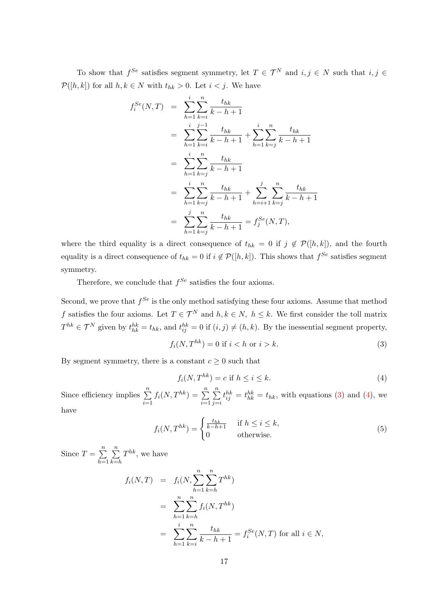To show that  $f^{Se}$  satisfies segment symmetry, let  $T \in \mathcal{T}^N$  and  $i, j \in N$  such that  $i, j \in \mathcal{I}$  $\mathcal{P}([h, k])$  for all  $h, k \in N$  with  $t_{hk} > 0$ . Let  $i < j$ . We have

$$
f_i^{Se}(N,T) = \sum_{h=1}^{i} \sum_{k=i}^{n} \frac{t_{hk}}{k-h+1}
$$
  
\n
$$
= \sum_{h=1}^{i} \sum_{k=i}^{j-1} \frac{t_{hk}}{k-h+1} + \sum_{h=1}^{i} \sum_{k=j}^{n} \frac{t_{hk}}{k-h+1}
$$
  
\n
$$
= \sum_{h=1}^{i} \sum_{k=j}^{n} \frac{t_{hk}}{k-h+1}
$$
  
\n
$$
= \sum_{h=1}^{i} \sum_{k=j}^{n} \frac{t_{hk}}{k-h+1} + \sum_{h=i+1}^{j} \sum_{k=j}^{n} \frac{t_{hk}}{k-h+1}
$$
  
\n
$$
= \sum_{h=1}^{j} \sum_{k=j}^{n} \frac{t_{hk}}{k-h+1} = f_j^{Se}(N,T),
$$

where the third equality is a direct consequence of  $t_{hk} = 0$  if  $j \notin \mathcal{P}([h,k])$ , and the fourth equality is a direct consequence of  $t_{hk} = 0$  if  $i \notin \mathcal{P}([h,k])$ . This shows that  $f^{Se}$  satisfies segment symmetry.

Therefore, we conclude that  $f^{Se}$  satisfies the four axioms.

Second, we prove that  $f^{Se}$  is the only method satisfying these four axioms. Assume that method f satisfies the four axioms. Let  $T \in \mathcal{T}^N$  and  $h, k \in \mathbb{N}$ ,  $h \leq k$ . We first consider the toll matrix  $T^{hk} \in \mathcal{T}^N$  given by  $t_{hk}^{hk} = t_{hk}$ , and  $t_{ij}^{hk} = 0$  if  $(i, j) \neq (h, k)$ . By the inessential segment property,

<span id="page-18-0"></span>
$$
f_i(N, T^{hk}) = 0 \text{ if } i < h \text{ or } i > k. \tag{3}
$$

By segment symmetry, there is a constant  $c \geq 0$  such that

<span id="page-18-1"></span>
$$
f_i(N, T^{hk}) = c \text{ if } h \le i \le k. \tag{4}
$$

Since efficiency implies  $\sum_{n=1}^{\infty}$  $i=1$  $f_i(N, T^{hk}) = \sum^n$  $i=1$  $\sum_{n=1}^{\infty}$  $j = i$  $t_{ij}^{hk} = t_{hk}^{hk} = t_{hk}$ , with equations [\(3\)](#page-18-0) and [\(4\)](#page-18-1), we

have

<span id="page-18-2"></span>
$$
f_i(N, T^{hk}) = \begin{cases} \frac{t_{hk}}{k - h + 1} & \text{if } h \le i \le k, \\ 0 & \text{otherwise.} \end{cases}
$$
 (5)

Since  $T = \sum_{n=1}^{\infty}$  $h=1$  $\sum_{n=1}^{\infty}$  $k=$ h  $T^{hk}$ , we have

$$
f_i(N,T) = f_i(N, \sum_{h=1}^n \sum_{k=h}^n T^{hk})
$$
  
= 
$$
\sum_{h=1}^n \sum_{k=h}^n f_i(N, T^{hk})
$$
  
= 
$$
\sum_{h=1}^i \sum_{k=i}^n \frac{t_{hk}}{k-h+1} = f_i^{Se}(N, T) \text{ for all } i \in N,
$$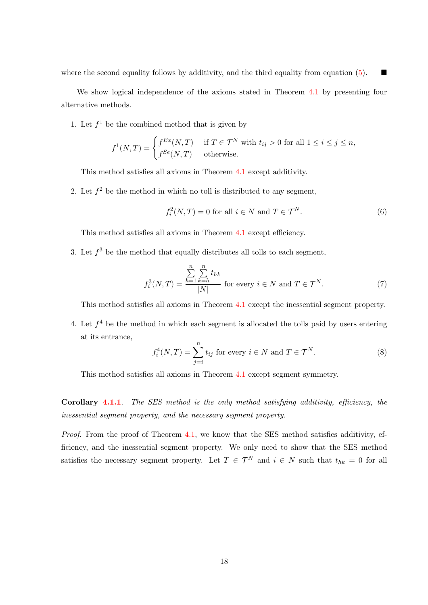where the second equality follows by additivity, and the third equality from equation [\(5\)](#page-18-2).

We show logical independence of the axioms stated in Theorem [4.1](#page-7-1) by presenting four alternative methods.

1. Let  $f^1$  be the combined method that is given by

$$
f^{1}(N,T) = \begin{cases} f^{Ex}(N,T) & \text{if } T \in \mathcal{T}^{N} \text{ with } t_{ij} > 0 \text{ for all } 1 \le i \le j \le n, \\ f^{Se}(N,T) & \text{otherwise.} \end{cases}
$$

This method satisfies all axioms in Theorem [4.1](#page-7-1) except additivity.

2. Let  $f^2$  be the method in which no toll is distributed to any segment,

<span id="page-19-0"></span>
$$
f_i^2(N,T) = 0 \text{ for all } i \in N \text{ and } T \in \mathcal{T}^N. \tag{6}
$$

This method satisfies all axioms in Theorem [4.1](#page-7-1) except efficiency.

3. Let  $f^3$  be the method that equally distributes all tolls to each segment,

<span id="page-19-1"></span>
$$
f_i^3(N,T) = \frac{\sum_{h=1}^n \sum_{k=h}^n t_{hk}}{|N|}
$$
 for every  $i \in N$  and  $T \in \mathcal{T}^N$ . (7)

This method satisfies all axioms in Theorem [4.1](#page-7-1) except the inessential segment property.

4. Let  $f<sup>4</sup>$  be the method in which each segment is allocated the tolls paid by users entering at its entrance,

<span id="page-19-2"></span>
$$
f_i^4(N,T) = \sum_{j=i}^n t_{ij} \text{ for every } i \in N \text{ and } T \in \mathcal{T}^N.
$$
 (8)

This method satisfies all axioms in Theorem [4.1](#page-7-1) except segment symmetry.

**Corollary [4.1.1](#page-8-3).** The SES method is the only method satisfying additivity, efficiency, the inessential segment property, and the necessary segment property.

Proof. From the proof of Theorem [4.1,](#page-7-1) we know that the SES method satisfies additivity, efficiency, and the inessential segment property. We only need to show that the SES method satisfies the necessary segment property. Let  $T \in \mathcal{T}^N$  and  $i \in N$  such that  $t_{hk} = 0$  for all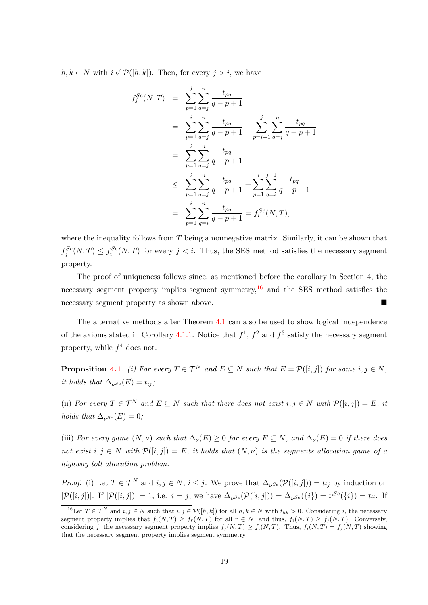$h, k \in N$  with  $i \notin \mathcal{P}([h, k])$ . Then, for every  $j > i$ , we have

$$
f_j^{Se}(N,T) = \sum_{p=1}^{j} \sum_{q=j}^{n} \frac{t_{pq}}{q-p+1}
$$
  
\n
$$
= \sum_{p=1}^{i} \sum_{q=j}^{n} \frac{t_{pq}}{q-p+1} + \sum_{p=i+1}^{j} \sum_{q=j}^{n} \frac{t_{pq}}{q-p+1}
$$
  
\n
$$
= \sum_{p=1}^{i} \sum_{q=j}^{n} \frac{t_{pq}}{q-p+1}
$$
  
\n
$$
\leq \sum_{p=1}^{i} \sum_{q=j}^{n} \frac{t_{pq}}{q-p+1} + \sum_{p=1}^{i} \sum_{q=i}^{j-1} \frac{t_{pq}}{q-p+1}
$$
  
\n
$$
= \sum_{p=1}^{i} \sum_{q=i}^{n} \frac{t_{pq}}{q-p+1} = f_i^{Se}(N,T),
$$

where the inequality follows from T being a nonnegative matrix. Similarly, it can be shown that  $f_j^{Se}(N,T) \leq f_i^{Se}(N,T)$  for every  $j < i$ . Thus, the SES method satisfies the necessary segment property.

The proof of uniqueness follows since, as mentioned before the corollary in Section 4, the necessary segment property implies segment symmetry,  $16$  and the SES method satisfies the necessary segment property as shown above.

The alternative methods after Theorem [4.1](#page-7-1) can also be used to show logical independence of the axioms stated in Corollary [4.1.1.](#page-8-3) Notice that  $f^1$ ,  $f^2$  and  $f^3$  satisfy the necessary segment property, while  $f^4$  does not.

**Proposition [4.1](#page-2-2).** (i) For every  $T \in \mathcal{T}^N$  and  $E \subseteq N$  such that  $E = \mathcal{P}([i,j])$  for some  $i, j \in N$ , it holds that  $\Delta_{\nu^{Se}}(E) = t_{ij}$ ;

(ii) For every  $T \in \mathcal{T}^N$  and  $E \subseteq N$  such that there does not exist  $i, j \in N$  with  $\mathcal{P}([i, j]) = E$ , it holds that  $\Delta_{\nu} s_e(E) = 0$ ;

(iii) For every game  $(N, \nu)$  such that  $\Delta_{\nu}(E) \geq 0$  for every  $E \subseteq N$ , and  $\Delta_{\nu}(E) = 0$  if there does not exist  $i, j \in N$  with  $\mathcal{P}([i,j]) = E$ , it holds that  $(N, \nu)$  is the segments allocation game of a highway toll allocation problem.

*Proof.* (i) Let  $T \in \mathcal{T}^N$  and  $i, j \in N$ ,  $i \leq j$ . We prove that  $\Delta_{\nu} s_{\epsilon}(\mathcal{P}([i,j])) = t_{ij}$  by induction on  $|\mathcal{P}([i,j])|$ . If  $|\mathcal{P}([i,j])|=1$ , i.e.  $i=j$ , we have  $\Delta_{\nu^{Se}}(\mathcal{P}([i,j])) = \Delta_{\nu^{Se}}(\{i\}) = \nu^{Se}(\{i\}) = t_{ii}$ . If

<span id="page-20-0"></span><sup>&</sup>lt;sup>16</sup>Let  $T \in \mathcal{T}^N$  and  $i, j \in N$  such that  $i, j \in \mathcal{P}([h,k])$  for all  $h, k \in N$  with  $t_{hk} > 0$ . Considering i, the necessary segment property implies that  $f_i(N,T) \geq f_r(N,T)$  for all  $r \in N$ , and thus,  $f_i(N,T) \geq f_i(N,T)$ . Conversely, considering j, the necessary segment property implies  $f_j(N,T) \ge f_i(N,T)$ . Thus,  $f_i(N,T) = f_j(N,T)$  showing that the necessary segment property implies segment symmetry.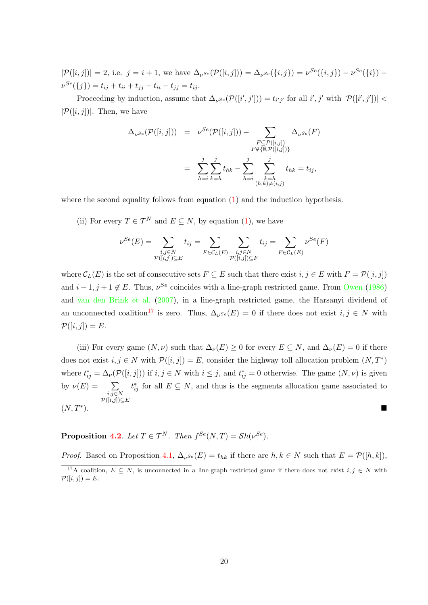$|\mathcal{P}([i,j])| = 2$ , i.e.  $j = i + 1$ , we have  $\Delta_{\nu^{Se}}(\mathcal{P}([i,j])) = \Delta_{\nu^{Se}}(\{i,j\}) = \nu^{Se}(\{i,j\}) - \nu^{Se}(\{i\})$  $\nu^{Se}(\{j\}) = t_{ij} + t_{ii} + t_{jj} - t_{ii} - t_{jj} = t_{ij}.$ 

Proceeding by induction, assume that  $\Delta_{\nu} s_{\epsilon}(\mathcal{P}([i', j']) = t_{i'j'}$  for all  $i', j'$  with  $|\mathcal{P}([i', j'])|$  $|\mathcal{P}([i, j])|$ . Then, we have

$$
\Delta_{\nu^{Se}}(\mathcal{P}([i,j])) = \nu^{Se}(\mathcal{P}([i,j])) - \sum_{\substack{F \subseteq \mathcal{P}([i,j]) \\ F \notin \{\emptyset, \mathcal{P}([i,j])\} \\ F \notin \{0, \mathcal{P}([i,j])\}}} \Delta_{\nu^{Se}}(F)
$$

$$
= \sum_{h=i}^{j} \sum_{k=h}^{j} t_{hk} - \sum_{h=i}^{j} \sum_{\substack{k=h \\ (h,k) \neq (i,j)}}^{j} t_{hk} = t_{ij},
$$

where the second equality follows from equation [\(1\)](#page-8-4) and the induction hypothesis.

(ii) For every  $T \in \mathcal{T}^N$  and  $E \subseteq N$ , by equation [\(1\)](#page-8-4), we have

$$
\nu^{Se}(E) = \sum_{\substack{i,j \in N \\ \mathcal{P}([i,j]) \subseteq E}} t_{ij} = \sum_{F \in \mathcal{C}_L(E)} \sum_{\substack{i,j \in N \\ \mathcal{P}([i,j]) \subseteq F}} t_{ij} = \sum_{F \in \mathcal{C}_L(E)} \nu^{Se}(F)
$$

where  $\mathcal{C}_L(E)$  is the set of consecutive sets  $F \subseteq E$  such that there exist  $i, j \in E$  with  $F = \mathcal{P}([i, j])$ and  $i-1, j+1 \notin E$ . Thus,  $\nu^{Se}$  coincides with a line-graph restricted game. From [Owen](#page-35-9) [\(1986\)](#page-35-9) and [van den Brink et al.](#page-35-10) [\(2007\)](#page-35-10), in a line-graph restricted game, the Harsanyi dividend of an unconnected coalition<sup>[17](#page-21-0)</sup> is zero. Thus,  $\Delta_{\nu^{Se}}(E) = 0$  if there does not exist  $i, j \in N$  with  $\mathcal{P}([i,j]) = E.$ 

(iii) For every game  $(N, \nu)$  such that  $\Delta_{\nu}(E) \geq 0$  for every  $E \subseteq N$ , and  $\Delta_{\nu}(E) = 0$  if there does not exist  $i, j \in N$  with  $\mathcal{P}([i,j]) = E$ , consider the highway toll allocation problem  $(N, T^*)$ where  $t_{ij}^* = \Delta_{\nu}(\mathcal{P}([i,j]))$  if  $i, j \in N$  with  $i \leq j$ , and  $t_{ij}^* = 0$  otherwise. The game  $(N, \nu)$  is given by  $\nu(E) = \sum$  $i,j \in N$  $\mathcal{P}([i,j])$  $\subseteq$ E  $t_{ij}^*$  for all  $E \subseteq N$ , and thus is the segments allocation game associated to  $(N, T^*)$ .  $\sum_{i=1}^{N}$ 

**Proposition [4.2](#page-9-0).** Let  $T \in \mathcal{T}^N$ . Then  $f^{Se}(N,T) = Sh(\nu^{Se})$ .

*Proof.* Based on Proposition [4.1,](#page-2-2)  $\Delta_{\nu} s_e(E) = t_{hk}$  if there are  $h, k \in N$  such that  $E = \mathcal{P}([h, k]),$ 

<span id="page-21-0"></span><sup>&</sup>lt;sup>17</sup>A coalition,  $E \subseteq N$ , is unconnected in a line-graph restricted game if there does not exist  $i, j \in N$  with  $\mathcal{P}([i,j]) = E.$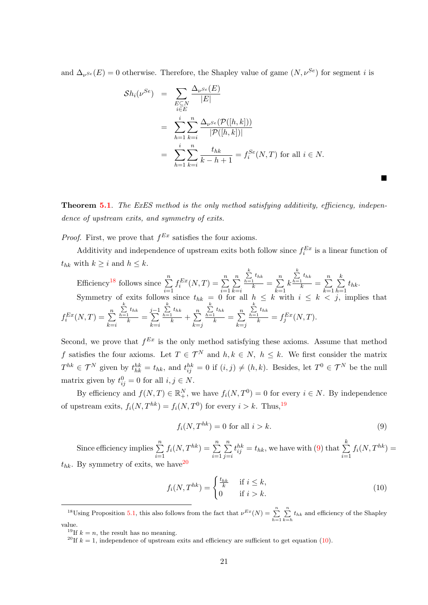and  $\Delta_{\nu^{Se}}(E) = 0$  otherwise. Therefore, the Shapley value of game  $(N, \nu^{Se})$  for segment *i* is

$$
\mathcal{S}h_i(\nu^{Se}) = \sum_{\substack{E \subseteq N \\ i \in E}} \frac{\Delta_{\nu^{Se}}(E)}{|E|}
$$
  
= 
$$
\sum_{h=1}^i \sum_{k=i}^n \frac{\Delta_{\nu^{Se}}(\mathcal{P}([h,k]))}{|\mathcal{P}([h,k])|}
$$
  
= 
$$
\sum_{h=1}^i \sum_{k=i}^n \frac{t_{hk}}{k-h+1} = f_i^{Se}(N,T) \text{ for all } i \in N.
$$

**Theorem [5.1](#page-10-0).** The ExES method is the only method satisfying additivity, efficiency, independence of upstream exits, and symmetry of exits.

*Proof.* First, we prove that  $f^{Ex}$  satisfies the four axioms.

Additivity and independence of upstream exits both follow since  $f_i^{Ex}$  is a linear function of  $t_{hk}$  with  $k \geq i$  and  $h \leq k$ .  $\mathbf{k}$ 

Efficiency<sup>18</sup> follows since 
$$
\sum_{i=1}^{n} f_i^{Ex}(N,T) = \sum_{i=1}^{n} \sum_{k=i}^{n} \frac{\sum_{k=1}^{k} t_{hk}}{k} = \sum_{k=1}^{n} k \frac{\sum_{k=1}^{k} t_{hk}}{k} = \sum_{k=1}^{n} \sum_{h=1}^{k} t_{hk}.
$$
Symmetry of exits follows since  $t_{hk} = 0$  for all  $h \le k$  with  $i \le k < j$ , implies that  $f_i^{Ex}(N,T) = \sum_{k=i}^{n} \frac{\sum_{k=1}^{k} t_{hk}}{k} = \sum_{k=i}^{j-1} \frac{\sum_{k=1}^{k} t_{hk}}{k} + \sum_{k=j}^{n} \frac{\sum_{k=1}^{k} t_{hk}}{k} = \sum_{k=j}^{n} \frac{\sum_{k=1}^{k} t_{hk}}{k} = f_j^{Ex}(N,T).$ 

Second, we prove that  $f^{Ex}$  is the only method satisfying these axioms. Assume that method f satisfies the four axioms. Let  $T \in \mathcal{T}^N$  and  $h, k \in N$ ,  $h \leq k$ . We first consider the matrix  $T^{hk} \in \mathcal{T}^N$  given by  $t_{hk}^{hk} = t_{hk}$ , and  $t_{ij}^{hk} = 0$  if  $(i, j) \neq (h, k)$ . Besides, let  $T^0 \in \mathcal{T}^N$  be the null matrix given by  $t_{ij}^0 = 0$  for all  $i, j \in N$ .

By efficiency and  $f(N,T) \in \mathbb{R}^N_+$ , we have  $f_i(N,T^0) = 0$  for every  $i \in N$ . By independence of upstream exits,  $f_i(N, T^{hk}) = f_i(N, T^0)$  for every  $i > k$ . Thus, <sup>[19](#page-22-1)</sup>

<span id="page-22-2"></span>
$$
f_i(N, T^{hk}) = 0 \text{ for all } i > k. \tag{9}
$$

п

Since efficiency implies  $\sum_{n=1}^n$  $i=1$  $f_i(N, T^{hk}) = \sum_{n=1}^{n}$  $i=1$  $\sum_{n=1}^{\infty}$  $j = i$  $t_{ij}^{hk} = t_{hk}$ , we have with [\(9\)](#page-22-2) that  $\sum_{k=1}^{k}$  $i=1$  $f_i(N, T^{hk}) =$  $t_{hk}$ . By symmetry of exits, we have  $20$ 

<span id="page-22-4"></span>
$$
f_i(N, T^{hk}) = \begin{cases} \frac{t_{hk}}{k} & \text{if } i \le k, \\ 0 & \text{if } i > k. \end{cases}
$$
 (10)

<span id="page-22-0"></span><sup>18</sup>Using Proposition [5.1,](#page-14-3) this also follows from the fact that  $\nu^{Ex}(N) = \sum_{h=1}^{n} \sum_{k=h}^{n} t_{hk}$  and efficiency of the Shapley value.

<span id="page-22-1"></span><sup>&</sup>lt;sup>19</sup>If  $k = n$ , the result has no meaning.

<span id="page-22-3"></span><sup>&</sup>lt;sup>20</sup>If  $k = 1$ , independence of upstream exits and efficiency are sufficient to get equation [\(10\)](#page-22-4).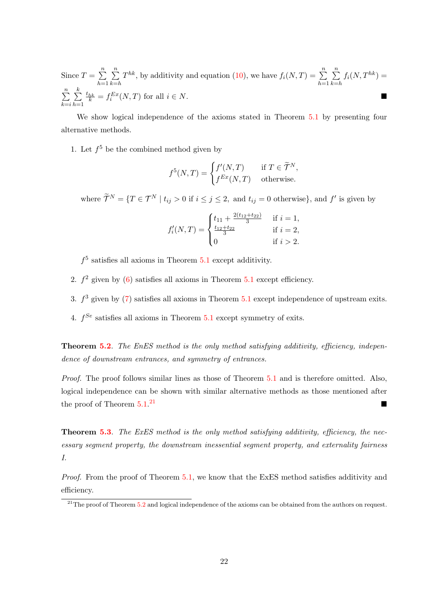Since  $T = \sum_{n=1}^{\infty}$  $h=1$  $\sum_{n=1}^{\infty}$  $k=$ h  $T^{hk}$ , by additivity and equation [\(10\)](#page-22-4), we have  $f_i(N,T) = \sum_{n=1}^{n}$  $h=1$  $\sum_{n=1}^{\infty}$  $k=$ h  $f_i(N, T^{hk}) =$  $\sum_{n=1}^{\infty}$  $k = i$  $\sum_{i=1}^{k}$  $h=1$  $\frac{t_{hk}}{k} = f_i^{Ex}(N,T)$  for all  $i \in N$ .

We show logical independence of the axioms stated in Theorem [5.1](#page-10-0) by presenting four alternative methods.

1. Let  $f^5$  be the combined method given by

$$
f^{5}(N,T) = \begin{cases} f'(N,T) & \text{if } T \in \widetilde{\mathcal{T}}^{N}, \\ f^{Ex}(N,T) & \text{otherwise.} \end{cases}
$$

where  $\widetilde{\mathcal{T}}^N = \{T \in \mathcal{T}^N \mid t_{ij} > 0 \text{ if } i \leq j \leq 2, \text{ and } t_{ij} = 0 \text{ otherwise}\},\$ and  $f'$  is given by

$$
f'_{i}(N,T) = \begin{cases} t_{11} + \frac{2(t_{12} + t_{22})}{3} & \text{if } i = 1, \\ \frac{t_{12} + t_{22}}{3} & \text{if } i = 2, \\ 0 & \text{if } i > 2. \end{cases}
$$

 $f<sup>5</sup>$  satisfies all axioms in Theorem  $5.1$  except additivity.

- 2.  $f^2$  given by [\(6\)](#page-19-0) satisfies all axioms in Theorem [5.1](#page-10-0) except efficiency.
- 3.  $f^3$  given by [\(7\)](#page-19-1) satisfies all axioms in Theorem [5.1](#page-10-0) except independence of upstream exits.
- 4.  $f^{Se}$  satisfies all axioms in Theorem [5.1](#page-10-0) except symmetry of exits.

**Theorem [5.2](#page-10-1).** The EnES method is the only method satisfying additivity, efficiency, independence of downstream entrances, and symmetry of entrances.

Proof. The proof follows similar lines as those of Theorem [5.1](#page-10-0) and is therefore omitted. Also, logical independence can be shown with similar alternative methods as those mentioned after the proof of Theorem  $5.1<sup>21</sup>$ [21](#page-23-0)

**Theorem [5.3](#page-12-0).** The ExES method is the only method satisfying additivity, efficiency, the necessary segment property, the downstream inessential segment property, and externality fairness I.

Proof. From the proof of Theorem [5.1,](#page-10-0) we know that the ExES method satisfies additivity and efficiency.

<span id="page-23-0"></span> $^{21}$ The proof of Theorem [5.2](#page-10-1) and logical independence of the axioms can be obtained from the authors on request.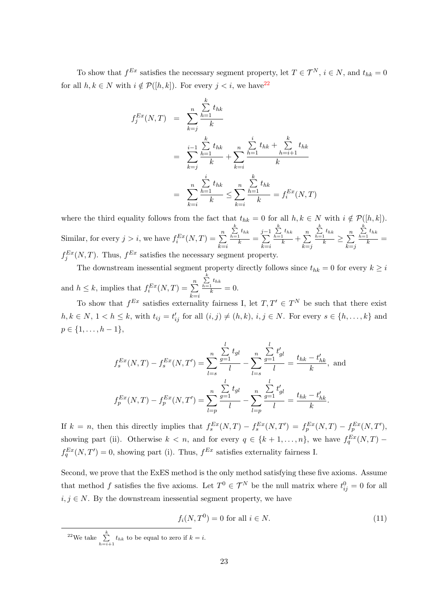To show that  $f^{Ex}$  satisfies the necessary segment property, let  $T \in \mathcal{T}^N$ ,  $i \in \mathbb{N}$ , and  $t_{hk} = 0$ for all  $h, k \in N$  with  $i \notin \mathcal{P}([h, k])$ . For every  $j < i$ , we have  $2^2$ 

$$
f_j^{Ex}(N,T) = \sum_{k=j}^{n} \frac{\sum_{h=1}^{k} t_{hk}}{k}
$$
  
= 
$$
\sum_{k=j}^{i-1} \frac{\sum_{h=1}^{k} t_{hk}}{k} + \sum_{k=i}^{n} \frac{\sum_{h=1}^{i} t_{hk} + \sum_{h=i+1}^{k} t_{hk}}{k}
$$
  
= 
$$
\sum_{k=i}^{n} \frac{\sum_{h=1}^{i} t_{hk}}{k} \le \sum_{k=i}^{n} \frac{\sum_{h=1}^{k} t_{hk}}{k} = f_i^{Ex}(N,T)
$$

where the third equality follows from the fact that  $t_{hk} = 0$  for all  $h, k \in N$  with  $i \notin \mathcal{P}([h, k])$ . Similar, for every  $j > i$ , we have  $f_i^{Ex}(N,T) = \sum_{i=1}^{n}$  $k = i$  $\sum_{h=1}^k t_{hk}$  $\frac{1}{k}$  =  $\sum_{ }^{j-1}$  $k = i$  $\sum_{h=1}^k t_{hk}$  $\frac{1}{k} + \sum_{k=1}^{n}$  $k = j$  $\sum_{h=1}^k t_{hk}$  $\frac{t_{hk}}{k} \geq \sum\limits_{k=1}^{n}$  $k = j$  $\sum_{h=1}^k t_{hk}$  $\frac{1}{k}$  =  $f_j^{Ex}(N,T)$ . Thus,  $f^{Ex}$  satisfies the necessary segment property.

The downstream inessential segment property directly follows since  $t_{hk} = 0$  for every  $k \geq i$ and  $h \leq k$ , implies that  $f_i^{Ex}(N,T) = \sum_{k=1}^n \frac{\sum_{h=1}^k t_{hk}}{k}$  $k=i$  $\frac{1}{k} = 0.$ 

To show that  $f^{Ex}$  satisfies externality fairness I, let  $T, T' \in T^N$  be such that there exist  $h, k \in N$ ,  $1 < h \leq k$ , with  $t_{ij} = t'_{ij}$  for all  $(i, j) \neq (h, k)$ ,  $i, j \in N$ . For every  $s \in \{h, \ldots, k\}$  and  $p \in \{1, \ldots, h-1\},\$ 

$$
f_s^{Ex}(N,T) - f_s^{Ex}(N,T') = \sum_{l=s}^{n} \frac{\sum_{g=1}^{l} t_{gl}}{l} - \sum_{l=s}^{n} \frac{\sum_{g=1}^{l} t'_{gl}}{l} = \frac{t_{hk} - t'_{hk}}{k}, \text{ and}
$$

$$
f_p^{Ex}(N,T) - f_p^{Ex}(N,T') = \sum_{l=p}^{n} \frac{\sum_{g=1}^{l} t_{gl}}{l} - \sum_{l=p}^{n} \frac{\sum_{g=1}^{l} t'_{gl}}{l} = \frac{t_{hk} - t'_{hk}}{k}.
$$

If  $k = n$ , then this directly implies that  $f_s^{Ex}(N,T) - f_s^{Ex}(N,T') = f_p^{Ex}(N,T) - f_p^{Ex}(N,T')$ , showing part (ii). Otherwise  $k < n$ , and for every  $q \in \{k+1,\ldots,n\}$ , we have  $f_q^{Ex}(N,T)$  $f_q^{Ex}(N,T')=0$ , showing part (i). Thus,  $f^{Ex}$  satisfies externality fairness I.

Second, we prove that the ExES method is the only method satisfying these five axioms. Assume that method f satisfies the five axioms. Let  $T^0 \in \mathcal{T}^N$  be the null matrix where  $t_{ij}^0 = 0$  for all  $i, j \in N$ . By the downstream inessential segment property, we have

<span id="page-24-1"></span>
$$
f_i(N, T^0) = 0 \text{ for all } i \in N.
$$
\n
$$
(11)
$$

<span id="page-24-0"></span><sup>22</sup>We take  $\sum_{h=i+1}^{k} t_{hk}$  to be equal to zero if  $k = i$ .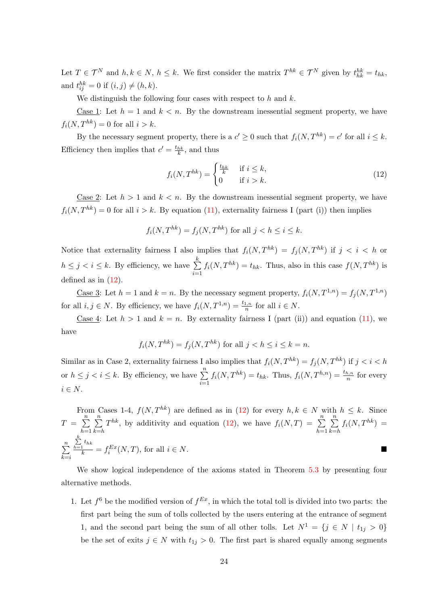Let  $T \in \mathcal{T}^N$  and  $h, k \in \mathbb{N}$ ,  $h \leq k$ . We first consider the matrix  $T^{hk} \in \mathcal{T}^N$  given by  $t_{hk}^{hk} = t_{hk}$ , and  $t_{ij}^{hk} = 0$  if  $(i, j) \neq (h, k)$ .

We distinguish the following four cases with respect to  $h$  and  $k$ .

Case 1: Let  $h = 1$  and  $k < n$ . By the downstream inessential segment property, we have  $f_i(N, T^{hk}) = 0$  for all  $i > k$ .

By the necessary segment property, there is a  $c' \geq 0$  such that  $f_i(N, T^{hk}) = c'$  for all  $i \leq k$ . Efficiency then implies that  $c' = \frac{t_{hk}}{k}$ , and thus

<span id="page-25-0"></span>
$$
f_i(N, T^{hk}) = \begin{cases} \frac{t_{hk}}{k} & \text{if } i \le k, \\ 0 & \text{if } i > k. \end{cases}
$$
 (12)

Case 2: Let  $h > 1$  and  $k < n$ . By the downstream inessential segment property, we have  $f_i(N, T^{hk}) = 0$  for all  $i > k$ . By equation [\(11\)](#page-24-1), externality fairness I (part (i)) then implies

$$
f_i(N, T^{hk}) = f_j(N, T^{hk})
$$
 for all  $j < h \le i \le k$ .

Notice that externality fairness I also implies that  $f_i(N, T^{hk}) = f_i(N, T^{hk})$  if  $j < i < h$  or  $h \leq j \leq i \leq k$ . By efficiency, we have  $\sum_{i=1}^{k}$  $i=1$  $f_i(N, T^{hk}) = t_{hk}$ . Thus, also in this case  $f(N, T^{hk})$  is defined as in  $(12)$ .

Case 3: Let  $h = 1$  and  $k = n$ . By the necessary segment property,  $f_i(N, T^{1,n}) = f_i(N, T^{1,n})$ for all  $i, j \in N$ . By efficiency, we have  $f_i(N, T^{1,n}) = \frac{t_{1,n}}{n}$  for all  $i \in N$ .

Case 4: Let  $h > 1$  and  $k = n$ . By externality fairness I (part (ii)) and equation [\(11\)](#page-24-1), we have

$$
f_i(N,T^{hk}) = f_j(N,T^{hk})
$$
 for all  $j < h \leq i \leq k = n$ .

Similar as in Case 2, externality fairness I also implies that  $f_i(N, T^{hk}) = f_j(N, T^{hk})$  if  $j < i < h$ or  $h \leq j < i \leq k$ . By efficiency, we have  $\sum_{i=1}^{n}$  $i=1$  $f_i(N, T^{hk}) = t_{hk}$ . Thus,  $f_i(N, T^{h,n}) = \frac{t_{h,n}}{n}$  for every  $i \in N$ .

From Cases 1-4,  $f(N, T^{hk})$  are defined as in [\(12\)](#page-25-0) for every  $h, k \in N$  with  $h \leq k$ . Since  $T = \sum_{n=1}^{n}$  $h=1$  $\sum_{n=1}^{\infty}$  $k=$ h  $T^{hk}$ , by additivity and equation [\(12\)](#page-25-0), we have  $f_i(N,T) = \sum_{n=1}^{n}$  $h=1$  $\sum_{n=1}^{\infty}$  $k=h$  $f_i(N, T^{hk}) =$  $\sum_{n=1}^{\infty}$  $k = i$  $\sum_{h=1}^k t_{hk}$  $\frac{1}{k} = f_i^{Ex}(N,T)$ , for all  $i \in N$ .

We show logical independence of the axioms stated in Theorem [5.3](#page-12-0) by presenting four alternative methods.

1. Let  $f^6$  be the modified version of  $f^{Ex}$ , in which the total toll is divided into two parts: the first part being the sum of tolls collected by the users entering at the entrance of segment 1, and the second part being the sum of all other tolls. Let  $N^1 = \{j \in N \mid t_{1j} > 0\}$ be the set of exits  $j \in N$  with  $t_{1j} > 0$ . The first part is shared equally among segments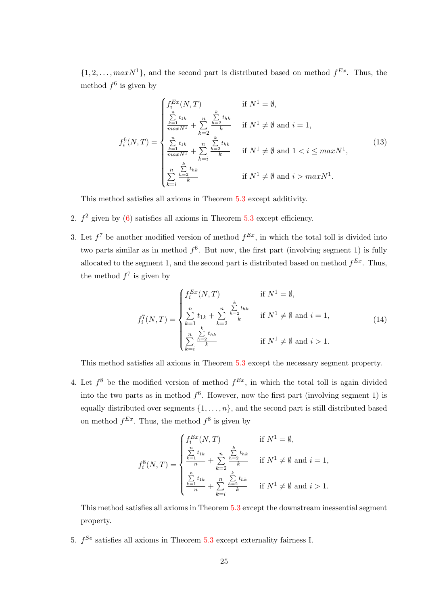$\{1, 2, \ldots, maxN^1\}$ , and the second part is distributed based on method  $f^{Ex}$ . Thus, the method  $f^6$  is given by

$$
f_i^6(N,T) = \begin{cases} f_i^{Ex}(N,T) & \text{if } N^1 = \emptyset, \\ \frac{\sum_{k=1}^n t_{1k}}{maxN^1} + \sum_{k=2}^n \frac{\sum_{h=2}^k t_{hk}}{k} & \text{if } N^1 \neq \emptyset \text{ and } i = 1, \\ \frac{\sum_{k=1}^n t_{1k}}{maxN^1} + \sum_{k=i}^n \frac{\sum_{h=2}^k t_{hk}}{k} & \text{if } N^1 \neq \emptyset \text{ and } 1 < i \leq maxN^1, \\ \frac{\sum_{k=2}^n \frac{h}{k}}{k} & \text{if } N^1 \neq \emptyset \text{ and } i > maxN^1. \end{cases}
$$
(13)

This method satisfies all axioms in Theorem [5.3](#page-12-0) except additivity.

- 2.  $f^2$  given by [\(6\)](#page-19-0) satisfies all axioms in Theorem [5.3](#page-12-0) except efficiency.
- 3. Let  $f^7$  be another modified version of method  $f^{Ex}$ , in which the total toll is divided into two parts similar as in method  $f^6$ . But now, the first part (involving segment 1) is fully allocated to the segment 1, and the second part is distributed based on method  $f^{Ex}$ . Thus, the method  $f^7$  is given by

$$
f_i^T(N,T) = \begin{cases} f_i^{Ex}(N,T) & \text{if } N^1 = \emptyset, \\ \sum_{k=1}^n t_{1k} + \sum_{k=2}^n \frac{h=2}{k} & \text{if } N^1 \neq \emptyset \text{ and } i = 1, \\ \sum_{k=i}^n \frac{\sum_{k=2}^n t_{hk}}{k} & \text{if } N^1 \neq \emptyset \text{ and } i > 1. \end{cases}
$$
(14)

This method satisfies all axioms in Theorem [5.3](#page-12-0) except the necessary segment property.

4. Let  $f^8$  be the modified version of method  $f^{Ex}$ , in which the total toll is again divided into the two parts as in method  $f^6$ . However, now the first part (involving segment 1) is equally distributed over segments  $\{1, \ldots, n\}$ , and the second part is still distributed based on method  $f^{Ex}$ . Thus, the method  $f^8$  is given by

$$
f_i^8(N,T) = \begin{cases} f_i^{Ex}(N,T) & \text{if } N^1 = \emptyset, \\ \frac{\sum_{k=1}^n t_{1k}}{n} + \sum_{k=2}^n \frac{\sum_{h=2}^k t_{hk}}{k} & \text{if } N^1 \neq \emptyset \text{ and } i = 1, \\ \frac{\sum_{k=1}^n t_{1k}}{n} + \sum_{k=i}^n \frac{\sum_{k=2}^k t_{hk}}{k} & \text{if } N^1 \neq \emptyset \text{ and } i > 1. \end{cases}
$$

This method satisfies all axioms in Theorem [5.3](#page-12-0) except the downstream inessential segment property.

5.  $f^{Se}$  satisfies all axioms in Theorem [5.3](#page-12-0) except externality fairness I.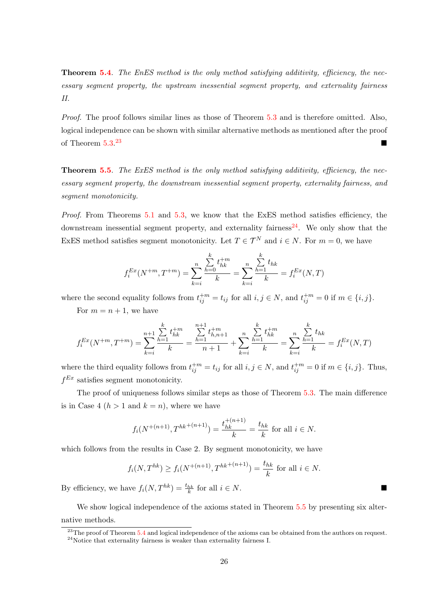**Theorem [5.4](#page-12-1).** The EnES method is the only method satisfying additivity, efficiency, the necessary segment property, the upstream inessential segment property, and externality fairness II.

Proof. The proof follows similar lines as those of Theorem [5.3](#page-12-0) and is therefore omitted. Also, logical independence can be shown with similar alternative methods as mentioned after the proof of Theorem  $5.3^{23}$ [23](#page-27-0)

**Theorem [5.5](#page-13-1).** The ExES method is the only method satisfying additivity, efficiency, the necessary segment property, the downstream inessential segment property, externality fairness, and segment monotonicity.

Proof. From Theorems [5.1](#page-10-0) and [5.3,](#page-12-0) we know that the ExES method satisfies efficiency, the downstream inessential segment property, and externality fairness<sup>[24](#page-27-1)</sup>. We only show that the ExES method satisfies segment monotonicity. Let  $T \in \mathcal{T}^N$  and  $i \in N$ . For  $m = 0$ , we have

$$
f_i^{Ex}(N^{+m}, T^{+m}) = \sum_{k=i}^{n} \frac{\sum_{h=0}^{k} t_{hk}^{+m}}{k} = \sum_{k=i}^{n} \frac{\sum_{h=1}^{k} t_{hk}}{k} = f_i^{Ex}(N, T)
$$

where the second equality follows from  $t_{ij}^{+m} = t_{ij}$  for all  $i, j \in N$ , and  $t_{ij}^{+m} = 0$  if  $m \in \{i, j\}$ .

For  $m = n + 1$ , we have

$$
f_i^{Ex}(N^{+m}, T^{+m}) = \sum_{k=i}^{n+1} \frac{\sum_{h=1}^k t_{hk}^{+m}}{k} = \frac{\sum_{h=1}^{n+1} t_{h,n+1}^{+m}}{n+1} + \sum_{k=i}^n \frac{\sum_{h=1}^k t_{hk}^{+m}}{k} = \sum_{k=i}^n \frac{\sum_{h=1}^k t_{hk}}{k} = f_i^{Ex}(N, T)
$$

where the third equality follows from  $t_{ij}^{+m} = t_{ij}$  for all  $i, j \in N$ , and  $t_{ij}^{+m} = 0$  if  $m \in \{i, j\}$ . Thus,  $f^{Ex}$  satisfies segment monotonicity.

The proof of uniqueness follows similar steps as those of Theorem [5.3.](#page-12-0) The main difference is in Case 4  $(h > 1$  and  $k = n)$ , where we have

$$
f_i(N^{+(n+1)}, T^{hk^{+(n+1)}}) = \frac{t_{hk}^{+(n+1)}}{k} = \frac{t_{hk}}{k}
$$
 for all  $i \in N$ .

which follows from the results in Case 2. By segment monotonicity, we have

$$
f_i(N, T^{hk}) \ge f_i(N^{+(n+1)}, T^{hk^{+(n+1)}}) = \frac{t_{hk}}{k}
$$
 for all  $i \in N$ .

By efficiency, we have  $f_i(N, T^{hk}) = \frac{t_{hk}}{k}$  for all  $i \in N$ .

We show logical independence of the axioms stated in Theorem [5.5](#page-13-1) by presenting six alternative methods.

<span id="page-27-0"></span> $^{23}$ The proof of Theorem [5.4](#page-12-1) and logical independence of the axioms can be obtained from the authors on request.

<span id="page-27-1"></span> $24$ Notice that externality fairness is weaker than externality fairness I.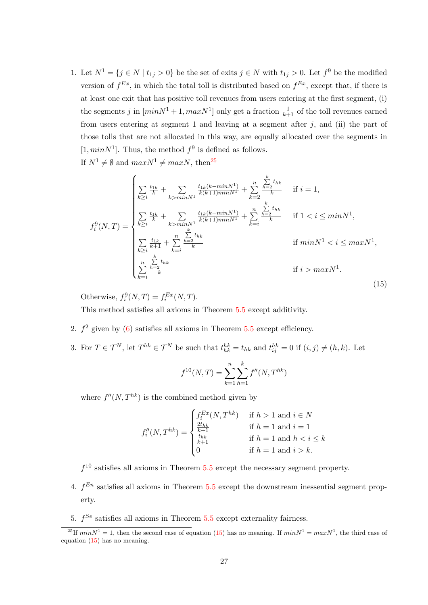1. Let  $N^1 = \{j \in N \mid t_{1j} > 0\}$  be the set of exits  $j \in N$  with  $t_{1j} > 0$ . Let  $f^9$  be the modified version of  $f^{Ex}$ , in which the total toll is distributed based on  $f^{Ex}$ , except that, if there is at least one exit that has positive toll revenues from users entering at the first segment, (i) the segments j in  $(minN^1 + 1, maxN^1]$  only get a fraction  $\frac{1}{k+1}$  of the toll revenues earned from users entering at segment 1 and leaving at a segment after  $j$ , and (ii) the part of those tolls that are not allocated in this way, are equally allocated over the segments in [1,  $minN<sup>1</sup>$ ]. Thus, the method  $f<sup>9</sup>$  is defined as follows.

If  $N^1 \neq \emptyset$  and  $maxN^1 \neq maxN$ , then<sup>[25](#page-28-0)</sup>

<span id="page-28-1"></span>
$$
f_i^9(N,T) = \begin{cases} \sum_{k \geq i} \frac{t_{1k}}{k} + \sum_{k > minN^1} \frac{t_{1k}(k - minN^1)}{k(k+1)minN^1} + \sum_{k=2}^n \frac{\sum_{h=2}^k t_{hk}}{k} & \text{if } i = 1, \\ \sum_{k \geq i} \frac{t_{1k}}{k} + \sum_{k > minN^1} \frac{t_{1k}(k - minN^1)}{k(k+1)minN^1} + \sum_{k=i}^n \frac{\sum_{h=2}^k t_{hk}}{k} & \text{if } 1 < i \leq minN^1, \\ \sum_{k \geq i} \frac{t_{1k}}{k+1} + \sum_{k=i}^n \frac{\sum_{h=2}^k t_{hk}}{k} & \text{if } minN^1 < i \leq maxN^1, \\ \sum_{k=i}^n \frac{\sum_{h=2}^k t_{hk}}{k} & \text{if } i > maxN^1. \end{cases}
$$
(15)

Otherwise,  $f_i^9(N,T) = f_i^{Ex}(N,T)$ .

This method satisfies all axioms in Theorem [5.5](#page-13-1) except additivity.

- 2.  $f<sup>2</sup>$  given by [\(6\)](#page-19-0) satisfies all axioms in Theorem [5.5](#page-13-1) except efficiency.
- 3. For  $T \in \mathcal{T}^N$ , let  $T^{hk} \in \mathcal{T}^N$  be such that  $t_{hk}^{hk} = t_{hk}$  and  $t_{ij}^{hk} = 0$  if  $(i, j) \neq (h, k)$ . Let

$$
f^{10}(N,T) = \sum_{k=1}^{n} \sum_{h=1}^{k} f''(N,T^{hk})
$$

where  $f''(N, T^{hk})$  is the combined method given by

$$
f_i''(N,T^{hk}) = \begin{cases} f_i^{Ex}(N,T^{hk}) & \text{if } h > 1 \text{ and } i \in N\\ \frac{2t_{hk}}{k+1} & \text{if } h = 1 \text{ and } i = 1\\ \frac{t_{hk}}{k+1} & \text{if } h = 1 \text{ and } h < i \le k\\ 0 & \text{if } h = 1 \text{ and } i > k. \end{cases}
$$

 $f<sup>10</sup>$  satisfies all axioms in Theorem [5.5](#page-13-1) except the necessary segment property.

- 4.  $f^{En}$  satisfies all axioms in Theorem [5.5](#page-13-1) except the downstream inessential segment property.
- 5.  $f^{Se}$  satisfies all axioms in Theorem [5.5](#page-13-1) except externality fairness.

<span id="page-28-0"></span><sup>&</sup>lt;sup>25</sup>If  $minN^1 = 1$ , then the second case of equation [\(15\)](#page-28-1) has no meaning. If  $minN^1 = maxN^1$ , the third case of equation [\(15\)](#page-28-1) has no meaning.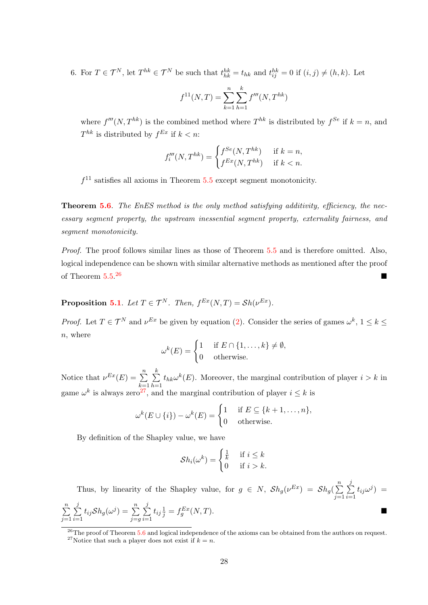6. For  $T \in \mathcal{T}^N$ , let  $T^{hk} \in \mathcal{T}^N$  be such that  $t_{hk}^{hk} = t_{hk}$  and  $t_{ij}^{hk} = 0$  if  $(i, j) \neq (h, k)$ . Let

$$
f^{11}(N,T) = \sum_{k=1}^{n} \sum_{h=1}^{k} f'''(N,T^{hk})
$$

where  $f'''(N, T^{hk})$  is the combined method where  $T^{hk}$  is distributed by  $f^{Se}$  if  $k = n$ , and  $T^{hk}$  is distributed by  $f^{Ex}$  if  $k < n$ :

$$
f_i'''(N, T^{hk}) = \begin{cases} f^{Se}(N, T^{hk}) & \text{if } k = n, \\ f^{Ex}(N, T^{hk}) & \text{if } k < n. \end{cases}
$$

 $f<sup>11</sup>$  satisfies all axioms in Theorem [5.5](#page-13-1) except segment monotonicity.

**Theorem [5.6](#page-13-2).** The EnES method is the only method satisfying additivity, efficiency, the necessary segment property, the upstream inessential segment property, externality fairness, and segment monotonicity.

Proof. The proof follows similar lines as those of Theorem [5.5](#page-13-1) and is therefore omitted. Also, logical independence can be shown with similar alternative methods as mentioned after the proof of Theorem  $5.5^{26}$ [26](#page-29-0)

**Proposition [5.1](#page-14-3)**. Let  $T \in \mathcal{T}^N$ . Then,  $f^{Ex}(N,T) = Sh(\nu^{Ex})$ .

*Proof.* Let  $T \in \mathcal{T}^N$  and  $\nu^{Ex}$  be given by equation [\(2\)](#page-14-5). Consider the series of games  $\omega^k$ ,  $1 \leq k \leq$  $n$ , where

$$
\omega^{k}(E) = \begin{cases} 1 & \text{if } E \cap \{1, \dots, k\} \neq \emptyset, \\ 0 & \text{otherwise.} \end{cases}
$$

Notice that  $\nu^{Ex}(E) = \sum_{n=1}^{\infty}$  $k=1$  $\sum_{i=1}^{k}$  $h=1$  $t_{hk}\omega^k(E)$ . Moreover, the marginal contribution of player  $i > k$  in game  $\omega^k$  is always zero<sup>[27](#page-29-1)</sup>, and the marginal contribution of player  $i \leq k$  is

$$
\omega^{k}(E \cup \{i\}) - \omega^{k}(E) = \begin{cases} 1 & \text{if } E \subseteq \{k+1, \dots, n\}, \\ 0 & \text{otherwise.} \end{cases}
$$

By definition of the Shapley value, we have

$$
Sh_i(\omega^k) = \begin{cases} \frac{1}{k} & \text{if } i \leq k \\ 0 & \text{if } i > k. \end{cases}
$$

Thus, by linearity of the Shapley value, for  $g \in N$ ,  $\mathcal{S}h_g(\nu^{Ex}) = \mathcal{S}h_g(\sum_{i=1}^n S_i)^2$  $j=1$  $\sum$ j  $i=1$  $t_{ij}\omega^j$  =  $\sum_{n=1}^{\infty}$  $j=1$  $\sum$ j  $i=1$  $t_{ij} \mathcal{S} h_g(\omega^j) = \sum_{i=1}^n$  $j = g$  $\sum$ j  $i=1$  $t_{ij}\frac{1}{j} = f_g^{Ex}(N,T).$ 

<span id="page-29-1"></span><span id="page-29-0"></span><sup>26</sup>The proof of Theorem [5.6](#page-13-2) and logical independence of the axioms can be obtained from the authors on request. <sup>27</sup>Notice that such a player does not exist if  $k = n$ .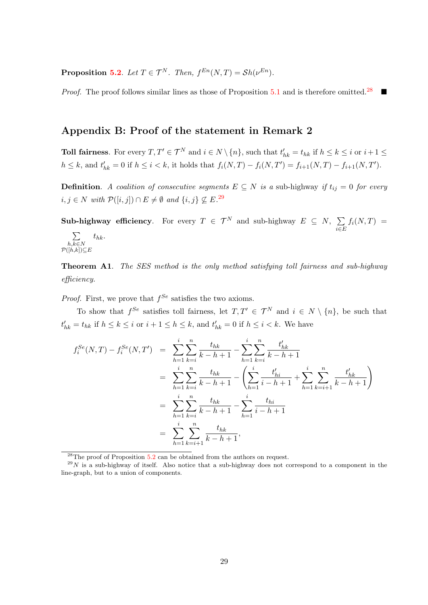**Proposition [5.2](#page-14-6).** Let  $T \in \mathcal{T}^N$ . Then,  $f^{En}(N, T) = Sh(\nu^{En})$ .

Proof. The proof follows similar lines as those of Proposition [5.1](#page-14-3) and is therefore omitted.<sup>[28](#page-30-0)</sup>

# Appendix B: Proof of the statement in Remark 2

**Toll fairness**. For every  $T, T' \in \mathcal{T}^N$  and  $i \in N \setminus \{n\}$ , such that  $t'_{hk} = t_{hk}$  if  $h \leq k \leq i$  or  $i+1 \leq$  $h \leq k$ , and  $t'_{hk} = 0$  if  $h \leq i < k$ , it holds that  $f_i(N,T) - f_i(N,T') = f_{i+1}(N,T) - f_{i+1}(N,T')$ .

**Definition.** A coalition of consecutive segments  $E \subseteq N$  is a sub-highway if  $t_{ij} = 0$  for every  $i, j \in N$  with  $\mathcal{P}([i, j]) \cap E \neq \emptyset$  and  $\{i, j\} \nsubseteq E^{29}$  $\{i, j\} \nsubseteq E^{29}$  $\{i, j\} \nsubseteq E^{29}$ .

Sub-highway efficiency. For every  $T \in \mathcal{T}^N$  and sub-highway  $E \subseteq N$ ,  $\sum$ i∈E  $f_i(N,T) =$  $\sum$  $t_{hk}.$ 

$$
\overbrace{P([h,k]) \subseteq E}^{h,k \in N}
$$

**Theorem A1.** The SES method is the only method satisfying toll fairness and sub-highway efficiency.

*Proof.* First, we prove that  $f^{Se}$  satisfies the two axioms.

To show that  $f^{Se}$  satisfies toll fairness, let  $T, T' \in \mathcal{T}^N$  and  $i \in N \setminus \{n\}$ , be such that  $t'_{hk} = t_{hk}$  if  $h \leq k \leq i$  or  $i + 1 \leq h \leq k$ , and  $t'_{hk} = 0$  if  $h \leq i < k$ . We have

$$
f_i^{Se}(N,T) - f_i^{Se}(N,T') = \sum_{h=1}^{i} \sum_{k=i}^{n} \frac{t_{hk}}{k-h+1} - \sum_{h=1}^{i} \sum_{k=i}^{n} \frac{t'_{hk}}{k-h+1}
$$
  

$$
= \sum_{h=1}^{i} \sum_{k=i}^{n} \frac{t_{hk}}{k-h+1} - \left(\sum_{h=1}^{i} \frac{t'_{hi}}{i-h+1} + \sum_{h=1}^{i} \sum_{k=i+1}^{n} \frac{t'_{hk}}{k-h+1}\right)
$$
  

$$
= \sum_{h=1}^{i} \sum_{k=i}^{n} \frac{t_{hk}}{k-h+1} - \sum_{h=1}^{i} \frac{t_{hi}}{i-h+1}
$$
  

$$
= \sum_{h=1}^{i} \sum_{k=i+1}^{n} \frac{t_{hk}}{k-h+1},
$$

<span id="page-30-1"></span><span id="page-30-0"></span> $28$ The proof of Proposition  $5.2$  can be obtained from the authors on request.

 $29N$  is a sub-highway of itself. Also notice that a sub-highway does not correspond to a component in the line-graph, but to a union of components.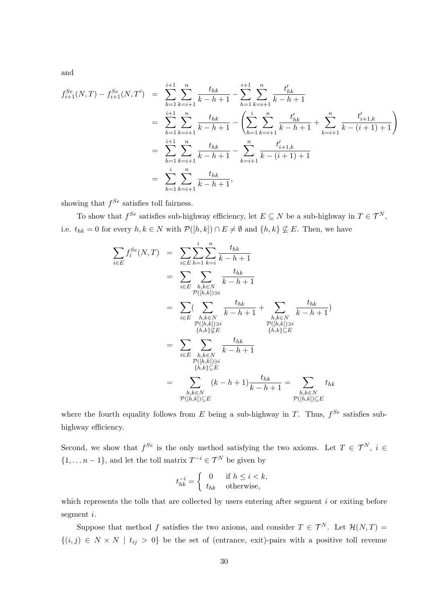and

$$
f_{i+1}^{Se}(N,T) - f_{i+1}^{Se}(N,T') = \sum_{h=1}^{i+1} \sum_{k=i+1}^{n} \frac{t_{hk}}{k-h+1} - \sum_{h=1}^{i+1} \sum_{k=i+1}^{n} \frac{t'_{hk}}{k-h+1}
$$
  
\n
$$
= \sum_{h=1}^{i+1} \sum_{k=i+1}^{n} \frac{t_{hk}}{k-h+1} - \left( \sum_{h=1}^{i} \sum_{k=i+1}^{n} \frac{t'_{hk}}{k-h+1} + \sum_{k=i+1}^{n} \frac{t'_{i+1,k}}{k-(i+1)+1} \right)
$$
  
\n
$$
= \sum_{h=1}^{i+1} \sum_{k=i+1}^{n} \frac{t_{hk}}{k-h+1} - \sum_{k=i+1}^{n} \frac{t'_{i+1,k}}{k-(i+1)+1}
$$
  
\n
$$
= \sum_{h=1}^{i} \sum_{k=i+1}^{n} \frac{t_{hk}}{k-h+1},
$$

showing that  $f^{Se}$  satisfies toll fairness.

To show that  $f^{Se}$  satisfies sub-highway efficiency, let  $E \subseteq N$  be a sub-highway in  $T \in \mathcal{T}^N$ , i.e.  $t_{hk} = 0$  for every  $h, k \in N$  with  $\mathcal{P}([h, k]) \cap E \neq \emptyset$  and  $\{h, k\} \nsubseteq E$ . Then, we have

$$
\sum_{i \in E} f_i^{Se}(N, T) = \sum_{i \in E} \sum_{h=1}^{i} \sum_{k=i}^{n} \frac{t_{hk}}{k-h+1}
$$
\n
$$
= \sum_{i \in E} \sum_{\substack{h,k \in N \\ \mathcal{P}([h,k]) \ni i}} \frac{t_{hk}}{k-h+1}
$$
\n
$$
= \sum_{i \in E} (\sum_{\substack{h,k \in N \\ \mathcal{P}([h,k]) \ni i}} \frac{t_{hk}}{k-h+1} + \sum_{\substack{h,k \in N \\ \mathcal{P}([h,k]) \ni i}} \frac{t_{hk}}{k-h+1})
$$
\n
$$
= \sum_{\substack{i \in E \\ \mathcal{P}([h,k]) \ni i}} \sum_{\substack{h,k \in N \\ \{h,k\} \subseteq E \\ \{h,k\} \subseteq E}} \frac{t_{hk}}{k-h+1}
$$
\n
$$
= \sum_{\substack{h,k \in N \\ \mathcal{P}([h,k]) \ni i}} (k-h+1) \frac{t_{hk}}{k-h+1} = \sum_{\substack{h,k \in N \\ \mathcal{P}([h,k]) \subseteq E}} t_{hk}
$$

where the fourth equality follows from E being a sub-highway in T. Thus,  $f^{Se}$  satisfies subhighway efficiency.

Second, we show that  $f^{Se}$  is the only method satisfying the two axioms. Let  $T \in \mathcal{T}^N$ ,  $i \in$  $\{1, \ldots n-1\}$ , and let the toll matrix  $T^{-i} \in \mathcal{T}^N$  be given by

$$
t_{hk}^{-i} = \begin{cases} 0 & \text{if } h \le i < k, \\ t_{hk} & \text{otherwise,} \end{cases}
$$

which represents the tolls that are collected by users entering after segment  $i$  or exiting before segment i.

Suppose that method f satisfies the two axioms, and consider  $T \in \mathcal{T}^N$ . Let  $\mathcal{H}(N,T) =$  ${(i, j) \in N \times N \mid t_{ij} > 0}$  be the set of (entrance, exit)-pairs with a positive toll revenue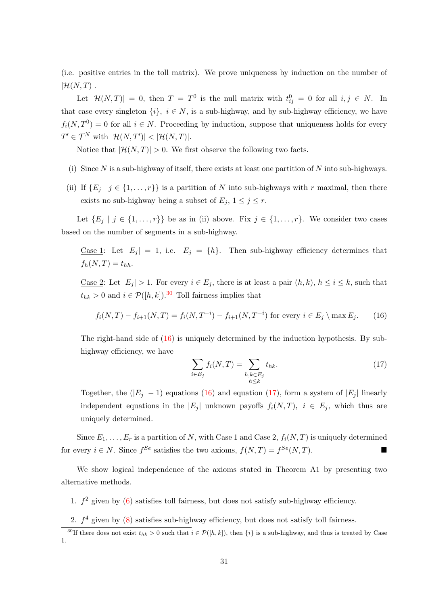(i.e. positive entries in the toll matrix). We prove uniqueness by induction on the number of  $|\mathcal{H}(N,T)|$ .

Let  $|\mathcal{H}(N,T)| = 0$ , then  $T = T^0$  is the null matrix with  $t_{ij}^0 = 0$  for all  $i, j \in N$ . In that case every singleton  $\{i\}, i \in N$ , is a sub-highway, and by sub-highway efficiency, we have  $f_i(N,T^0) = 0$  for all  $i \in N$ . Proceeding by induction, suppose that uniqueness holds for every  $T' \in \mathcal{T}^N$  with  $|\mathcal{H}(N,T')| < |\mathcal{H}(N,T)|$ .

Notice that  $|\mathcal{H}(N,T)| > 0$ . We first observe the following two facts.

- (i) Since N is a sub-highway of itself, there exists at least one partition of N into sub-highways.
- (ii) If  $\{E_i \mid j \in \{1, ..., r\}\}\$ is a partition of N into sub-highways with r maximal, then there exists no sub-highway being a subset of  $E_j$ ,  $1 \leq j \leq r$ .

Let  $\{E_j \mid j \in \{1, \ldots, r\}\}\$ be as in (ii) above. Fix  $j \in \{1, \ldots, r\}$ . We consider two cases based on the number of segments in a sub-highway.

Case 1: Let  $|E_j| = 1$ , i.e.  $E_j = \{h\}$ . Then sub-highway efficiency determines that  $f_h(N,T) = t_{hh}$ .

Case 2: Let  $|E_j| > 1$ . For every  $i \in E_j$ , there is at least a pair  $(h, k)$ ,  $h \le i \le k$ , such that  $t_{hk} > 0$  and  $i \in \mathcal{P}([h,k])$ .<sup>[30](#page-32-0)</sup> Toll fairness implies that

<span id="page-32-1"></span>
$$
f_i(N,T) - f_{i+1}(N,T) = f_i(N,T^{-i}) - f_{i+1}(N,T^{-i})
$$
 for every  $i \in E_j \setminus \max E_j$ . (16)

The right-hand side of  $(16)$  is uniquely determined by the induction hypothesis. By subhighway efficiency, we have

<span id="page-32-2"></span>
$$
\sum_{i \in E_j} f_i(N, T) = \sum_{\substack{h, k \in E_j \\ h \le k}} t_{hk}.
$$
\n(17)

Together, the  $(|E_j| - 1)$  equations [\(16\)](#page-32-1) and equation [\(17\)](#page-32-2), form a system of  $|E_j|$  linearly independent equations in the  $|E_i|$  unknown payoffs  $f_i(N,T)$ ,  $i \in E_i$ , which thus are uniquely determined.

Since  $E_1, \ldots, E_r$  is a partition of N, with Case 1 and Case 2,  $f_i(N,T)$  is uniquely determined for every  $i \in N$ . Since  $f^{Se}$  satisfies the two axioms,  $f(N,T) = f^{Se}(N,T)$ .

We show logical independence of the axioms stated in Theorem A1 by presenting two alternative methods.

- 1.  $f^2$  given by [\(6\)](#page-19-0) satisfies toll fairness, but does not satisfy sub-highway efficiency.
- <span id="page-32-0"></span>2.  $f<sup>4</sup>$  given by [\(8\)](#page-19-2) satisfies sub-highway efficiency, but does not satisfy toll fairness.

<sup>&</sup>lt;sup>30</sup>If there does not exist  $t_{hk} > 0$  such that  $i \in \mathcal{P}([h,k])$ , then  $\{i\}$  is a sub-highway, and thus is treated by Case 1.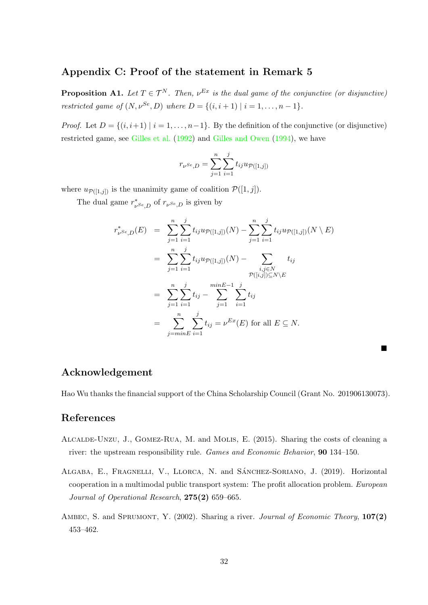# Appendix C: Proof of the statement in Remark 5

**Proposition A1.** Let  $T \in \mathcal{T}^N$ . Then,  $\nu^{Ex}$  is the dual game of the conjunctive (or disjunctive) restricted game of  $(N, \nu^{Se}, D)$  where  $D = \{(i, i + 1) | i = 1, ..., n - 1\}.$ 

*Proof.* Let  $D = \{(i, i+1) | i = 1, \ldots, n-1\}$ . By the definition of the conjunctive (or disjunctive) restricted game, see [Gilles et al.](#page-34-6) [\(1992\)](#page-34-6) and [Gilles and Owen](#page-34-7) [\(1994\)](#page-34-7), we have

$$
r_{\nu^{Se},D} = \sum_{j=1}^{n} \sum_{i=1}^{j} t_{ij} u_{\mathcal{P}([1,j])}
$$

where  $u_{\mathcal{P}([1,j])}$  is the unanimity game of coalition  $\mathcal{P}([1,j])$ .

The dual game  $r^*$  $\psi_{S_{e,D}}^*$  of  $r_{\nu^{S_e},D}$  is given by

$$
r_{\nu}^{*} s_{e,D}(E) = \sum_{j=1}^{n} \sum_{i=1}^{j} t_{ij} u_{\mathcal{P}([1,j])}(N) - \sum_{j=1}^{n} \sum_{i=1}^{j} t_{ij} u_{\mathcal{P}([1,j])}(N \setminus E)
$$
  
\n
$$
= \sum_{j=1}^{n} \sum_{i=1}^{j} t_{ij} u_{\mathcal{P}([1,j])}(N) - \sum_{\substack{i,j \in N \\ \mathcal{P}([i,j]) \subseteq N \setminus E}} t_{ij}
$$
  
\n
$$
= \sum_{j=1}^{n} \sum_{i=1}^{j} t_{ij} - \sum_{j=1}^{minE-1} \sum_{i=1}^{j} t_{ij}
$$
  
\n
$$
= \sum_{j=minE}^{n} \sum_{i=1}^{j} t_{ij} = \nu^{Ex}(E) \text{ for all } E \subseteq N.
$$

## Acknowledgement

Hao Wu thanks the financial support of the China Scholarship Council (Grant No. 201906130073).

# References

- <span id="page-33-1"></span>Alcalde-Unzu, J., Gomez-Rua, M. and Molis, E. (2015). Sharing the costs of cleaning a river: the upstream responsibility rule. Games and Economic Behavior, 90 134–150.
- <span id="page-33-0"></span>ALGABA, E., FRAGNELLI, V., LLORCA, N. and SÁNCHEZ-SORIANO, J. (2019). Horizontal cooperation in a multimodal public transport system: The profit allocation problem. European Journal of Operational Research, 275(2) 659–665.
- <span id="page-33-2"></span>AMBEC, S. and SPRUMONT, Y.  $(2002)$ . Sharing a river. *Journal of Economic Theory*,  $107(2)$ 453–462.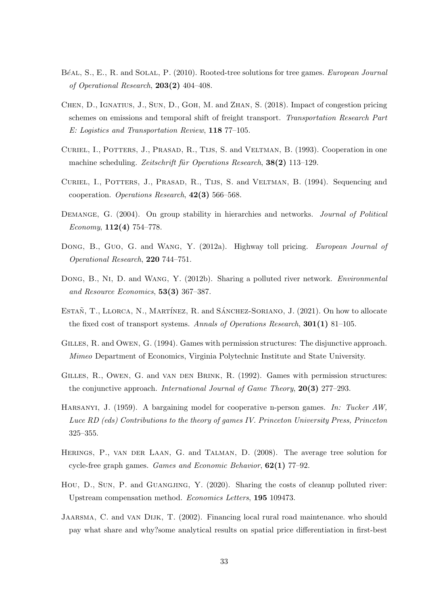- <span id="page-34-11"></span>BéAL, S., E., R. and SOLAL, P. (2010). Rooted-tree solutions for tree games. European Journal of Operational Research, 203(2) 404–408.
- <span id="page-34-3"></span>Chen, D., Ignatius, J., Sun, D., Goh, M. and Zhan, S. (2018). Impact of congestion pricing schemes on emissions and temporal shift of freight transport. Transportation Research Part E: Logistics and Transportation Review, 118 77–105.
- <span id="page-34-12"></span>CURIEL, I., POTTERS, J., PRASAD, R., TIJS, S. and VELTMAN, B. (1993). Cooperation in one machine scheduling. Zeitschrift für Operations Research,  $38(2)$  113–129.
- <span id="page-34-13"></span>Curiel, I., Potters, J., Prasad, R., Tijs, S. and Veltman, B. (1994). Sequencing and cooperation. Operations Research, 42(3) 566–568.
- <span id="page-34-9"></span>DEMANGE, G. (2004). On group stability in hierarchies and networks. *Journal of Political* Economy,  $112(4)$  754–778.
- <span id="page-34-1"></span>DONG, B., GUO, G. and WANG, Y. (2012a). Highway toll pricing. European Journal of Operational Research, 220 744–751.
- <span id="page-34-4"></span>DONG, B., NI, D. and WANG, Y. (2012b). Sharing a polluted river network. *Environmental* and Resource Economics, 53(3) 367–387.
- <span id="page-34-0"></span>ESTAN, T., LLORCA, N., MARTÍNEZ, R. and SÁNCHEZ-SORIANO, J. (2021). On how to allocate the fixed cost of transport systems. Annals of Operations Research, 301(1) 81–105.
- <span id="page-34-7"></span>Gilles, R. and Owen, G. (1994). Games with permission structures: The disjunctive approach. Mimeo Department of Economics, Virginia Polytechnic Institute and State University.
- <span id="page-34-6"></span>GILLES, R., OWEN, G. and VAN DEN BRINK, R. (1992). Games with permission structures: the conjunctive approach. International Journal of Game Theory, 20(3) 277–293.
- <span id="page-34-8"></span>HARSANYI, J. (1959). A bargaining model for cooperative n-person games. In: Tucker AW, Luce RD (eds) Contributions to the theory of games IV. Princeton University Press, Princeton 325–355.
- <span id="page-34-10"></span>Herings, P., van der Laan, G. and Talman, D. (2008). The average tree solution for cycle-free graph games. Games and Economic Behavior, 62(1) 77–92.
- <span id="page-34-5"></span>Hou, D., Sun, P. and Guangjing, Y. (2020). Sharing the costs of cleanup polluted river: Upstream compensation method. Economics Letters, 195 109473.
- <span id="page-34-2"></span>Jaarsma, C. and van Dijk, T. (2002). Financing local rural road maintenance. who should pay what share and why?some analytical results on spatial price differentiation in first-best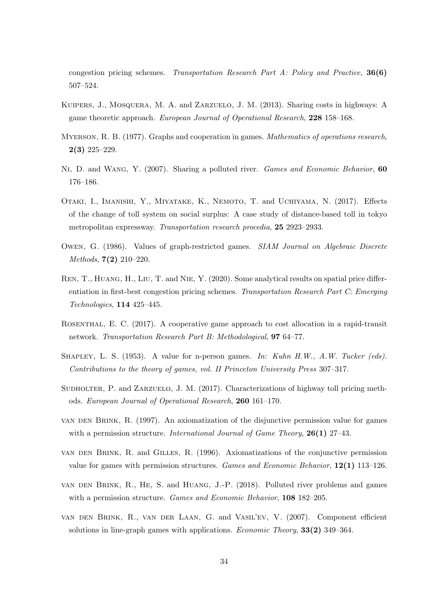congestion pricing schemes. Transportation Research Part A: Policy and Practice, 36(6) 507–524.

- <span id="page-35-2"></span>Kuipers, J., Mosquera, M. A. and Zarzuelo, J. M. (2013). Sharing costs in highways: A game theoretic approach. European Journal of Operational Research, 228 158–168.
- <span id="page-35-6"></span>MYERSON, R. B. (1977). Graphs and cooperation in games. Mathematics of operations research, 2(3) 225–229.
- <span id="page-35-4"></span>Ni, D. and Wang, Y. (2007). Sharing a polluted river. Games and Economic Behavior, 60 176–186.
- <span id="page-35-8"></span>Otaki, I., Imanishi, Y., Miyatake, K., Nemoto, T. and Uchiyama, N. (2017). Effects of the change of toll system on social surplus: A case study of distance-based toll in tokyo metropolitan expressway. Transportation research procedia, 25 2923–2933.
- <span id="page-35-9"></span>Owen, G. (1986). Values of graph-restricted games. SIAM Journal on Algebraic Discrete Methods, 7(2) 210–220.
- <span id="page-35-1"></span>REN, T., HUANG, H., LIU, T. and NIE, Y. (2020). Some analytical results on spatial price differentiation in first-best congestion pricing schemes. Transportation Research Part C: Emerging Technologies, 114 425–445.
- <span id="page-35-0"></span>Rosenthal, E. C. (2017). A cooperative game approach to cost allocation in a rapid-transit network. Transportation Research Part B: Methodological, 97 64–77.
- <span id="page-35-7"></span>SHAPLEY, L. S.  $(1953)$ . A value for n-person games. In: Kuhn H.W., A.W. Tucker (eds). Contributions to the theory of games, vol. II Princeton University Press 307–317.
- <span id="page-35-3"></span>Sudholter, P. and Zarzuelo, J. M. (2017). Characterizations of highway toll pricing methods. European Journal of Operational Research, 260 161–170.
- <span id="page-35-12"></span>van den Brink, R. (1997). An axiomatization of the disjunctive permission value for games with a permission structure. International Journal of Game Theory,  $26(1)$  27–43.
- <span id="page-35-11"></span>van den Brink, R. and Gilles, R. (1996). Axiomatizations of the conjunctive permission value for games with permission structures. Games and Economic Behavior, 12(1) 113–126.
- <span id="page-35-5"></span>van den Brink, R., He, S. and Huang, J.-P. (2018). Polluted river problems and games with a permission structure. Games and Economic Behavior, 108 182–205.
- <span id="page-35-10"></span>van den Brink, R., van der Laan, G. and Vasil'ev, V. (2007). Component efficient solutions in line-graph games with applications. Economic Theory, 33(2) 349–364.